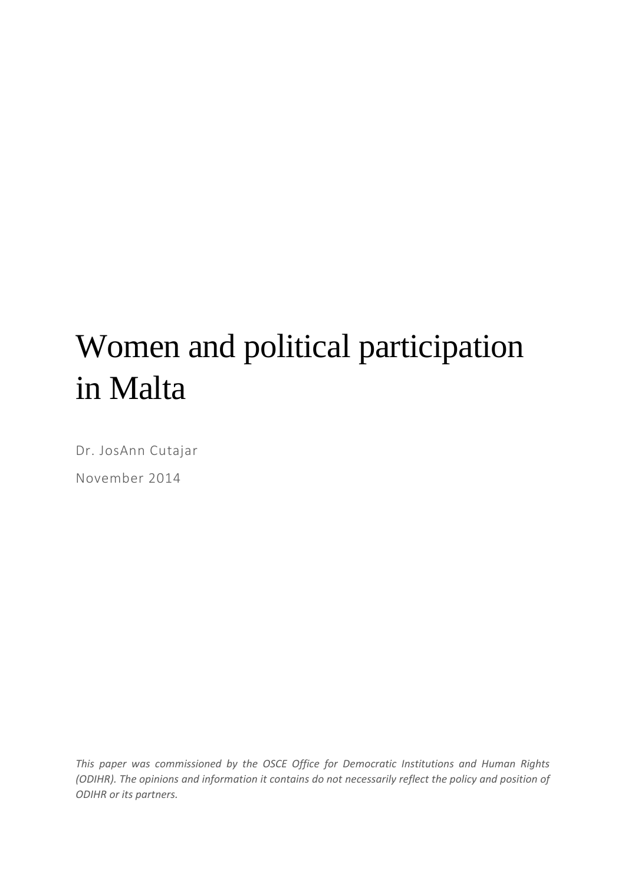# Women and political participation in Malta

Dr. JosAnn Cutajar November 2014

*This paper was commissioned by the OSCE Office for Democratic Institutions and Human Rights (ODIHR). The opinions and information it contains do not necessarily reflect the policy and position of ODIHR or its partners.*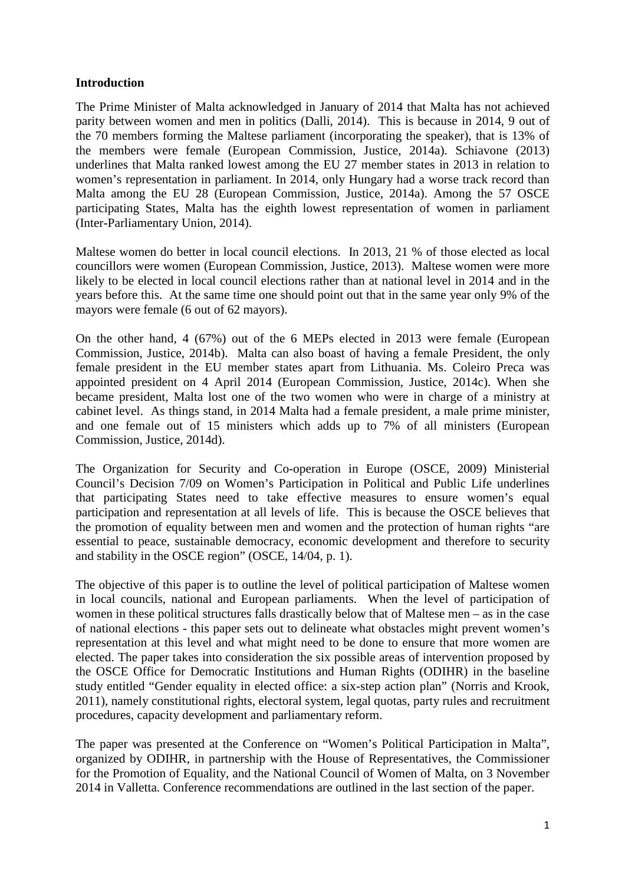## **Introduction**

The Prime Minister of Malta acknowledged in January of 2014 that Malta has not achieved parity between women and men in politics (Dalli, 2014). This is because in 2014, 9 out of the 70 members forming the Maltese parliament (incorporating the speaker), that is 13% of the members were female (European Commission, Justice, 2014a). Schiavone (2013) underlines that Malta ranked lowest among the EU 27 member states in 2013 in relation to women's representation in parliament. In 2014, only Hungary had a worse track record than Malta among the EU 28 (European Commission, Justice, 2014a). Among the 57 OSCE participating States, Malta has the eighth lowest representation of women in parliament (Inter-Parliamentary Union, 2014).

Maltese women do better in local council elections. In 2013, 21 % of those elected as local councillors were women (European Commission, Justice, 2013). Maltese women were more likely to be elected in local council elections rather than at national level in 2014 and in the years before this. At the same time one should point out that in the same year only 9% of the mayors were female (6 out of 62 mayors).

On the other hand, 4 (67%) out of the 6 MEPs elected in 2013 were female (European Commission, Justice, 2014b). Malta can also boast of having a female President, the only female president in the EU member states apart from Lithuania. Ms. Coleiro Preca was appointed president on 4 April 2014 (European Commission, Justice, 2014c). When she became president, Malta lost one of the two women who were in charge of a ministry at cabinet level. As things stand, in 2014 Malta had a female president, a male prime minister, and one female out of 15 ministers which adds up to 7% of all ministers (European Commission, Justice, 2014d).

The Organization for Security and Co-operation in Europe (OSCE, 2009) Ministerial Council's Decision 7/09 on Women's Participation in Political and Public Life underlines that participating States need to take effective measures to ensure women's equal participation and representation at all levels of life. This is because the OSCE believes that the promotion of equality between men and women and the protection of human rights "are essential to peace, sustainable democracy, economic development and therefore to security and stability in the OSCE region" (OSCE, 14/04, p. 1).

The objective of this paper is to outline the level of political participation of Maltese women in local councils, national and European parliaments. When the level of participation of women in these political structures falls drastically below that of Maltese men – as in the case of national elections - this paper sets out to delineate what obstacles might prevent women's representation at this level and what might need to be done to ensure that more women are elected. The paper takes into consideration the six possible areas of intervention proposed by the OSCE Office for Democratic Institutions and Human Rights (ODIHR) in the baseline study entitled "Gender equality in elected office: a six-step action plan" (Norris and Krook, 2011), namely constitutional rights, electoral system, legal quotas, party rules and recruitment procedures, capacity development and parliamentary reform.

The paper was presented at the Conference on "Women's Political Participation in Malta", organized by ODIHR, in partnership with the House of Representatives, the Commissioner for the Promotion of Equality, and the National Council of Women of Malta, on 3 November 2014 in Valletta. Conference recommendations are outlined in the last section of the paper.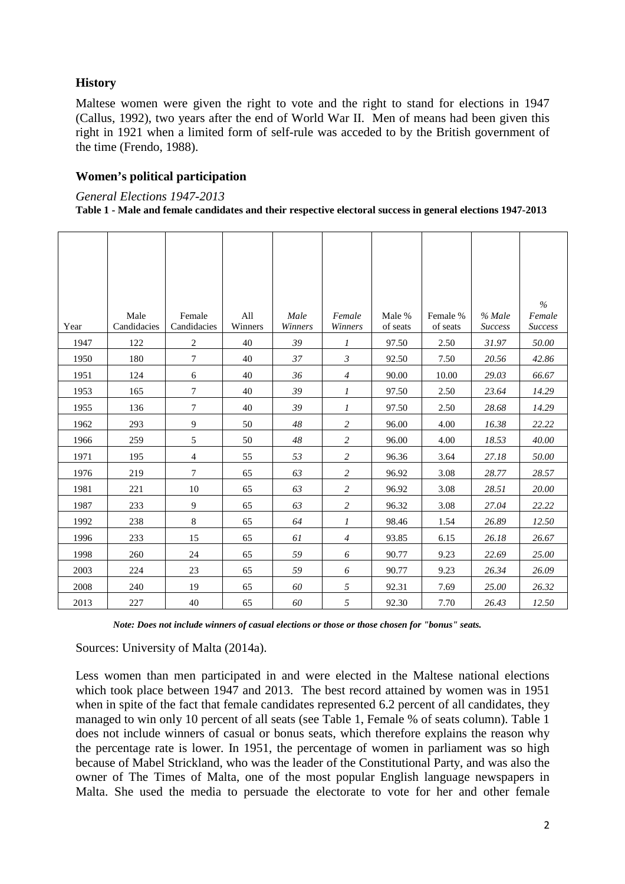# **History**

Maltese women were given the right to vote and the right to stand for elections in 1947 (Callus, 1992), two years after the end of World War II. Men of means had been given this right in 1921 when a limited form of self-rule was acceded to by the British government of the time (Frendo, 1988).

## **Women's political participation**

*General Elections 1947-2013* 

#### **Table 1 - Male and female candidates and their respective electoral success in general elections 1947-2013**

| Year | Male<br>Candidacies | Female<br>Candidacies | All<br>Winners | Male<br>Winners | Female<br>Winners | Male %<br>of seats | Female %<br>of seats | $%$ Male<br><b>Success</b> | $\frac{0}{0}$<br>Female<br><b>Success</b> |
|------|---------------------|-----------------------|----------------|-----------------|-------------------|--------------------|----------------------|----------------------------|-------------------------------------------|
| 1947 | 122                 | 2                     | 40             | 39              | $\mathcal{I}$     | 97.50              | 2.50                 | 31.97                      | 50.00                                     |
| 1950 | 180                 | $\tau$                | 40             | 37              | $\mathfrak{Z}$    | 92.50              | 7.50                 | 20.56                      | 42.86                                     |
| 1951 | 124                 | 6                     | 40             | 36              | $\overline{4}$    | 90.00              | 10.00                | 29.03                      | 66.67                                     |
| 1953 | 165                 | 7                     | 40             | 39              | 1                 | 97.50              | 2.50                 | 23.64                      | 14.29                                     |
| 1955 | 136                 | $\boldsymbol{7}$      | 40             | 39              | 1                 | 97.50              | 2.50                 | 28.68                      | 14.29                                     |
| 1962 | 293                 | 9                     | 50             | 48              | $\overline{c}$    | 96.00              | 4.00                 | 16.38                      | 22.22                                     |
| 1966 | 259                 | 5                     | 50             | 48              | 2                 | 96.00              | 4.00                 | 18.53                      | 40.00                                     |
| 1971 | 195                 | 4                     | 55             | 53              | $\overline{c}$    | 96.36              | 3.64                 | 27.18                      | 50.00                                     |
| 1976 | 219                 | 7                     | 65             | 63              | $\sqrt{2}$        | 96.92              | 3.08                 | 28.77                      | 28.57                                     |
| 1981 | 221                 | 10                    | 65             | 63              | 2                 | 96.92              | 3.08                 | 28.51                      | 20.00                                     |
| 1987 | 233                 | 9                     | 65             | 63              | $\overline{c}$    | 96.32              | 3.08                 | 27.04                      | 22.22                                     |
| 1992 | 238                 | 8                     | 65             | 64              | 1                 | 98.46              | 1.54                 | 26.89                      | 12.50                                     |
| 1996 | 233                 | 15                    | 65             | 61              | $\overline{4}$    | 93.85              | 6.15                 | 26.18                      | 26.67                                     |
| 1998 | 260                 | 24                    | 65             | 59              | 6                 | 90.77              | 9.23                 | 22.69                      | 25.00                                     |
| 2003 | 224                 | 23                    | 65             | 59              | 6                 | 90.77              | 9.23                 | 26.34                      | 26.09                                     |
| 2008 | 240                 | 19                    | 65             | 60              | 5                 | 92.31              | 7.69                 | 25.00                      | 26.32                                     |
| 2013 | 227                 | 40                    | 65             | 60              | 5                 | 92.30              | 7.70                 | 26.43                      | 12.50                                     |

*Note: Does not include winners of casual elections or those or those chosen for "bonus" seats.* 

Sources: University of Malta (2014a).

Less women than men participated in and were elected in the Maltese national elections which took place between 1947 and 2013. The best record attained by women was in 1951 when in spite of the fact that female candidates represented 6.2 percent of all candidates, they managed to win only 10 percent of all seats (see Table 1, Female % of seats column). Table 1 does not include winners of casual or bonus seats, which therefore explains the reason why the percentage rate is lower. In 1951, the percentage of women in parliament was so high because of Mabel Strickland, who was the leader of the Constitutional Party, and was also the owner of The Times of Malta, one of the most popular English language newspapers in Malta. She used the media to persuade the electorate to vote for her and other female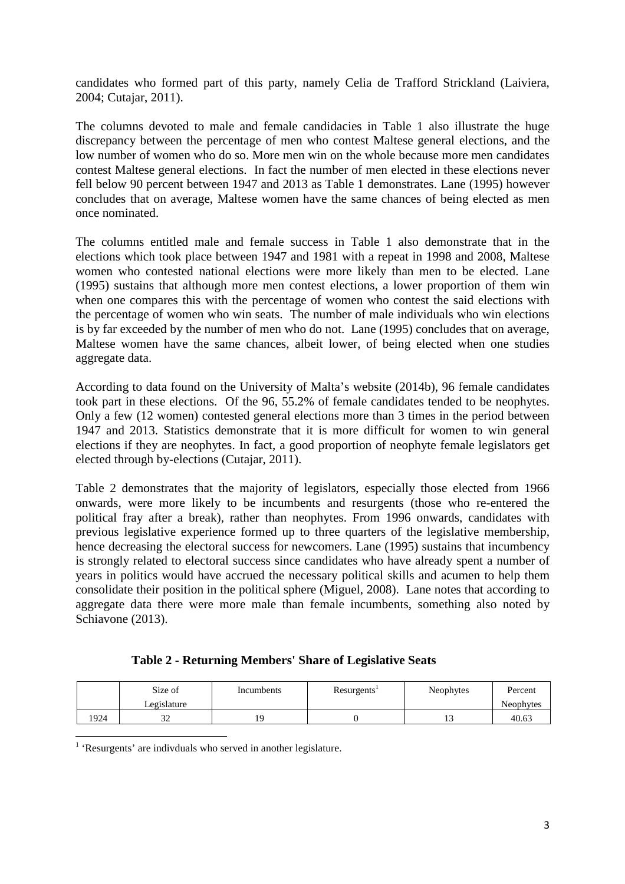candidates who formed part of this party, namely Celia de Trafford Strickland (Laiviera, 2004; Cutajar, 2011).

The columns devoted to male and female candidacies in Table 1 also illustrate the huge discrepancy between the percentage of men who contest Maltese general elections, and the low number of women who do so. More men win on the whole because more men candidates contest Maltese general elections. In fact the number of men elected in these elections never fell below 90 percent between 1947 and 2013 as Table 1 demonstrates. Lane (1995) however concludes that on average, Maltese women have the same chances of being elected as men once nominated.

The columns entitled male and female success in Table 1 also demonstrate that in the elections which took place between 1947 and 1981 with a repeat in 1998 and 2008, Maltese women who contested national elections were more likely than men to be elected. Lane (1995) sustains that although more men contest elections, a lower proportion of them win when one compares this with the percentage of women who contest the said elections with the percentage of women who win seats. The number of male individuals who win elections is by far exceeded by the number of men who do not. Lane (1995) concludes that on average, Maltese women have the same chances, albeit lower, of being elected when one studies aggregate data.

According to data found on the University of Malta's website (2014b), 96 female candidates took part in these elections. Of the 96, 55.2% of female candidates tended to be neophytes. Only a few (12 women) contested general elections more than 3 times in the period between 1947 and 2013. Statistics demonstrate that it is more difficult for women to win general elections if they are neophytes. In fact, a good proportion of neophyte female legislators get elected through by-elections (Cutajar, 2011).

Table 2 demonstrates that the majority of legislators, especially those elected from 1966 onwards, were more likely to be incumbents and resurgents (those who re-entered the political fray after a break), rather than neophytes. From 1996 onwards, candidates with previous legislative experience formed up to three quarters of the legislative membership, hence decreasing the electoral success for newcomers. Lane (1995) sustains that incumbency is strongly related to electoral success since candidates who have already spent a number of years in politics would have accrued the necessary political skills and acumen to help them consolidate their position in the political sphere (Miguel, 2008). Lane notes that according to aggregate data there were more male than female incumbents, something also noted by Schiavone (2013).

| Table 2 - Returning Members' Share of Legislative Seats |  |  |
|---------------------------------------------------------|--|--|
|                                                         |  |  |

|      | Size of<br>Legislature | Incumbents | Resurgents <sup>1</sup> | Neophytes | Percent<br>Neophytes |
|------|------------------------|------------|-------------------------|-----------|----------------------|
| 1924 | ے ر                    |            |                         |           | 40.63                |

<sup>1</sup> 'Resurgents' are indivduals who served in another legislature.

l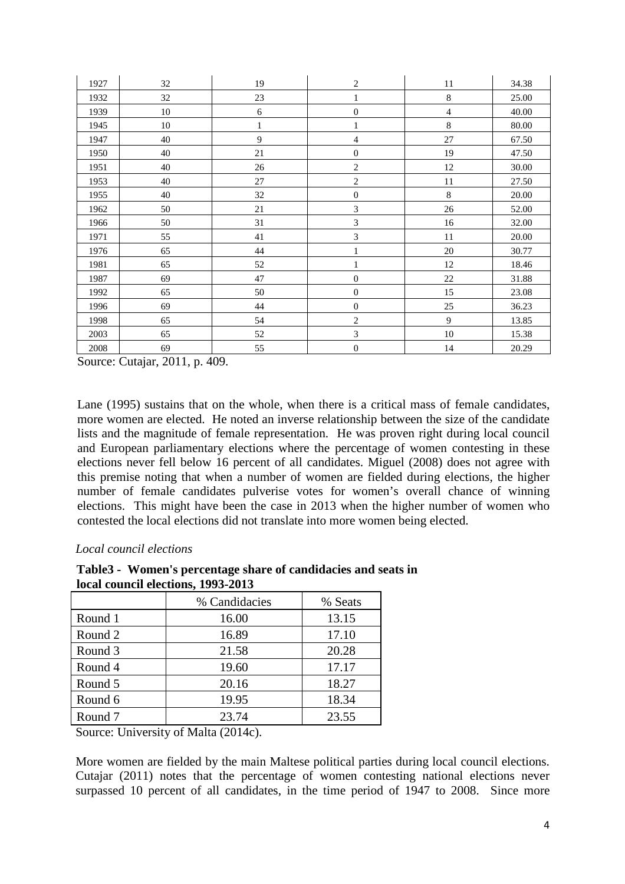| 1927 | 32     | 19           | $\overline{\mathbf{c}}$ | 11             | 34.38 |
|------|--------|--------------|-------------------------|----------------|-------|
| 1932 | 32     | 23           | $\mathbf{1}$            | $\,$ 8 $\,$    | 25.00 |
| 1939 | $10\,$ | 6            | $\boldsymbol{0}$        | $\overline{4}$ | 40.00 |
| 1945 | $10\,$ | $\mathbf{1}$ | $\mathbf{1}$            | $\,8\,$        | 80.00 |
| 1947 | 40     | 9            | 4                       | 27             | 67.50 |
| 1950 | 40     | 21           | $\boldsymbol{0}$        | 19             | 47.50 |
| 1951 | 40     | 26           | $\sqrt{2}$              | 12             | 30.00 |
| 1953 | 40     | 27           | $\sqrt{2}$              | 11             | 27.50 |
| 1955 | 40     | 32           | $\boldsymbol{0}$        | $\,8\,$        | 20.00 |
| 1962 | 50     | $21\,$       | 3                       | $26\,$         | 52.00 |
| 1966 | 50     | 31           | 3                       | 16             | 32.00 |
| 1971 | 55     | $41\,$       | 3                       | 11             | 20.00 |
| 1976 | 65     | 44           | $\mathbf{1}$            | $20\,$         | 30.77 |
| 1981 | 65     | 52           | $\mathbf{1}$            | 12             | 18.46 |
| 1987 | 69     | 47           | $\boldsymbol{0}$        | $22\,$         | 31.88 |
| 1992 | 65     | 50           | $\boldsymbol{0}$        | 15             | 23.08 |
| 1996 | 69     | 44           | $\boldsymbol{0}$        | $25\,$         | 36.23 |
| 1998 | 65     | 54           | $\overline{c}$          | 9              | 13.85 |
| 2003 | 65     | 52           | 3                       | $10\,$         | 15.38 |
| 2008 | 69     | 55           | $\boldsymbol{0}$        | 14             | 20.29 |

Source: Cutajar, 2011, p. 409.

Lane (1995) sustains that on the whole, when there is a critical mass of female candidates, more women are elected. He noted an inverse relationship between the size of the candidate lists and the magnitude of female representation. He was proven right during local council and European parliamentary elections where the percentage of women contesting in these elections never fell below 16 percent of all candidates. Miguel (2008) does not agree with this premise noting that when a number of women are fielded during elections, the higher number of female candidates pulverise votes for women's overall chance of winning elections. This might have been the case in 2013 when the higher number of women who contested the local elections did not translate into more women being elected.

#### *Local council elections*

#### **Table3 - Women's percentage share of candidacies and seats in local council elections, 1993-2013**

|                    | % Candidacies | % Seats |  |  |  |  |
|--------------------|---------------|---------|--|--|--|--|
| Round 1            | 16.00         | 13.15   |  |  |  |  |
| Round 2            | 16.89         | 17.10   |  |  |  |  |
| Round 3            | 21.58         | 20.28   |  |  |  |  |
| Round 4            | 19.60         | 17.17   |  |  |  |  |
| Round 5            | 20.16         | 18.27   |  |  |  |  |
| Round 6            | 19.95         | 18.34   |  |  |  |  |
| Round <sub>7</sub> | 23.74         | 23.55   |  |  |  |  |
|                    |               |         |  |  |  |  |

Source: University of Malta (2014c).

More women are fielded by the main Maltese political parties during local council elections. Cutajar (2011) notes that the percentage of women contesting national elections never surpassed 10 percent of all candidates, in the time period of 1947 to 2008. Since more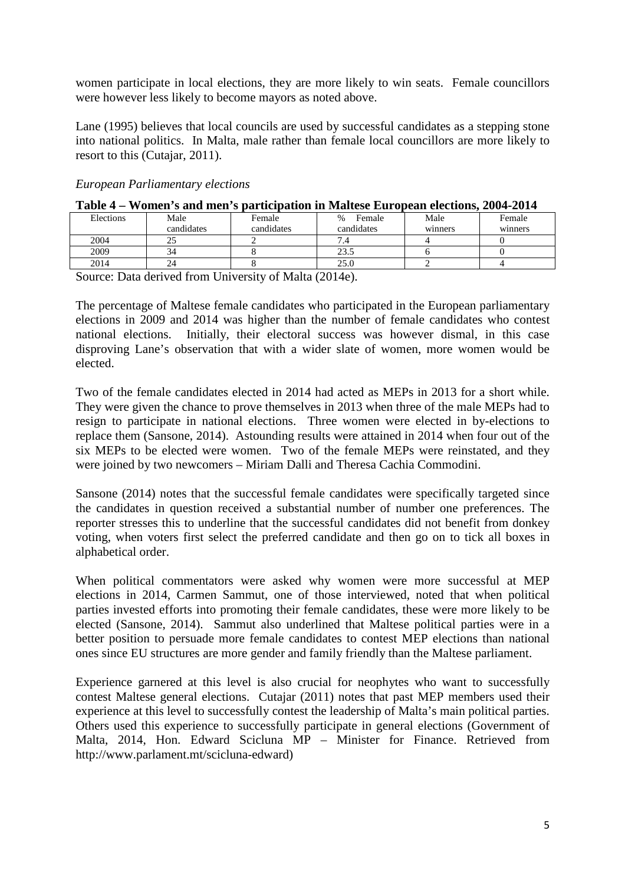women participate in local elections, they are more likely to win seats. Female councillors were however less likely to become mayors as noted above.

Lane (1995) believes that local councils are used by successful candidates as a stepping stone into national politics. In Malta, male rather than female local councillors are more likely to resort to this (Cutajar, 2011).

#### *European Parliamentary elections*

|           | $1$ able $\tau$ = Women $S$ and men $S$ participation in Mattese European elections, $200\tau$ - $201\tau$ |            |                |         |         |  |  |
|-----------|------------------------------------------------------------------------------------------------------------|------------|----------------|---------|---------|--|--|
| Elections | Male                                                                                                       | Female     | Female<br>$\%$ | Male    | Female  |  |  |
|           | candidates                                                                                                 | candidates | candidates     | winners | winners |  |  |
| 2004      |                                                                                                            |            |                |         |         |  |  |
| 2009      |                                                                                                            |            | 23.5           |         |         |  |  |
| 2014      |                                                                                                            |            | 25.0           |         |         |  |  |

# **Table 4 – Women's and men's participation in Maltese European elections, 2004-2014**

Source: Data derived from University of Malta (2014e).

The percentage of Maltese female candidates who participated in the European parliamentary elections in 2009 and 2014 was higher than the number of female candidates who contest national elections. Initially, their electoral success was however dismal, in this case disproving Lane's observation that with a wider slate of women, more women would be elected.

Two of the female candidates elected in 2014 had acted as MEPs in 2013 for a short while. They were given the chance to prove themselves in 2013 when three of the male MEPs had to resign to participate in national elections. Three women were elected in by-elections to replace them (Sansone, 2014). Astounding results were attained in 2014 when four out of the six MEPs to be elected were women. Two of the female MEPs were reinstated, and they were joined by two newcomers – Miriam Dalli and Theresa Cachia Commodini.

Sansone (2014) notes that the successful female candidates were specifically targeted since the candidates in question received a substantial number of number one preferences. The reporter stresses this to underline that the successful candidates did not benefit from donkey voting, when voters first select the preferred candidate and then go on to tick all boxes in alphabetical order.

When political commentators were asked why women were more successful at MEP elections in 2014, Carmen Sammut, one of those interviewed, noted that when political parties invested efforts into promoting their female candidates, these were more likely to be elected (Sansone, 2014). Sammut also underlined that Maltese political parties were in a better position to persuade more female candidates to contest MEP elections than national ones since EU structures are more gender and family friendly than the Maltese parliament.

Experience garnered at this level is also crucial for neophytes who want to successfully contest Maltese general elections. Cutajar (2011) notes that past MEP members used their experience at this level to successfully contest the leadership of Malta's main political parties. Others used this experience to successfully participate in general elections (Government of Malta, 2014, Hon. Edward Scicluna MP – Minister for Finance. Retrieved from http://www.parlament.mt/scicluna-edward)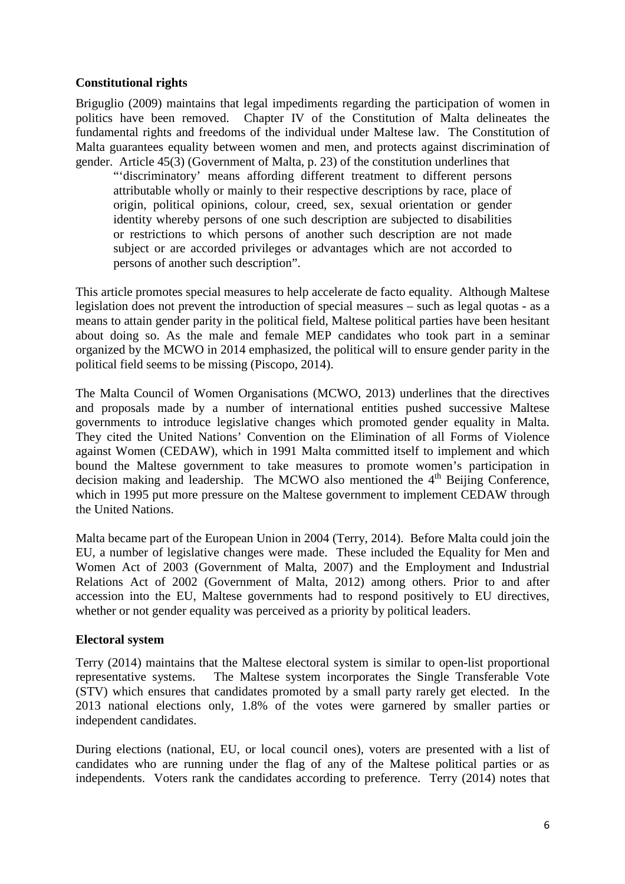## **Constitutional rights**

Briguglio (2009) maintains that legal impediments regarding the participation of women in politics have been removed. Chapter IV of the Constitution of Malta delineates the fundamental rights and freedoms of the individual under Maltese law. The Constitution of Malta guarantees equality between women and men, and protects against discrimination of gender. Article 45(3) (Government of Malta, p. 23) of the constitution underlines that

"'discriminatory' means affording different treatment to different persons attributable wholly or mainly to their respective descriptions by race, place of origin, political opinions, colour, creed, sex, sexual orientation or gender identity whereby persons of one such description are subjected to disabilities or restrictions to which persons of another such description are not made subject or are accorded privileges or advantages which are not accorded to persons of another such description".

This article promotes special measures to help accelerate de facto equality. Although Maltese legislation does not prevent the introduction of special measures – such as legal quotas - as a means to attain gender parity in the political field, Maltese political parties have been hesitant about doing so. As the male and female MEP candidates who took part in a seminar organized by the MCWO in 2014 emphasized, the political will to ensure gender parity in the political field seems to be missing (Piscopo, 2014).

The Malta Council of Women Organisations (MCWO, 2013) underlines that the directives and proposals made by a number of international entities pushed successive Maltese governments to introduce legislative changes which promoted gender equality in Malta. They cited the United Nations' Convention on the Elimination of all Forms of Violence against Women (CEDAW), which in 1991 Malta committed itself to implement and which bound the Maltese government to take measures to promote women's participation in decision making and leadership. The MCWO also mentioned the  $4<sup>th</sup>$  Beijing Conference, which in 1995 put more pressure on the Maltese government to implement CEDAW through the United Nations.

Malta became part of the European Union in 2004 (Terry, 2014). Before Malta could join the EU, a number of legislative changes were made. These included the Equality for Men and Women Act of 2003 (Government of Malta, 2007) and the Employment and Industrial Relations Act of 2002 (Government of Malta, 2012) among others. Prior to and after accession into the EU, Maltese governments had to respond positively to EU directives, whether or not gender equality was perceived as a priority by political leaders.

#### **Electoral system**

Terry (2014) maintains that the Maltese electoral system is similar to open-list proportional representative systems. The Maltese system incorporates the Single Transferable Vote (STV) which ensures that candidates promoted by a small party rarely get elected. In the 2013 national elections only, 1.8% of the votes were garnered by smaller parties or independent candidates.

During elections (national, EU, or local council ones), voters are presented with a list of candidates who are running under the flag of any of the Maltese political parties or as independents. Voters rank the candidates according to preference. Terry (2014) notes that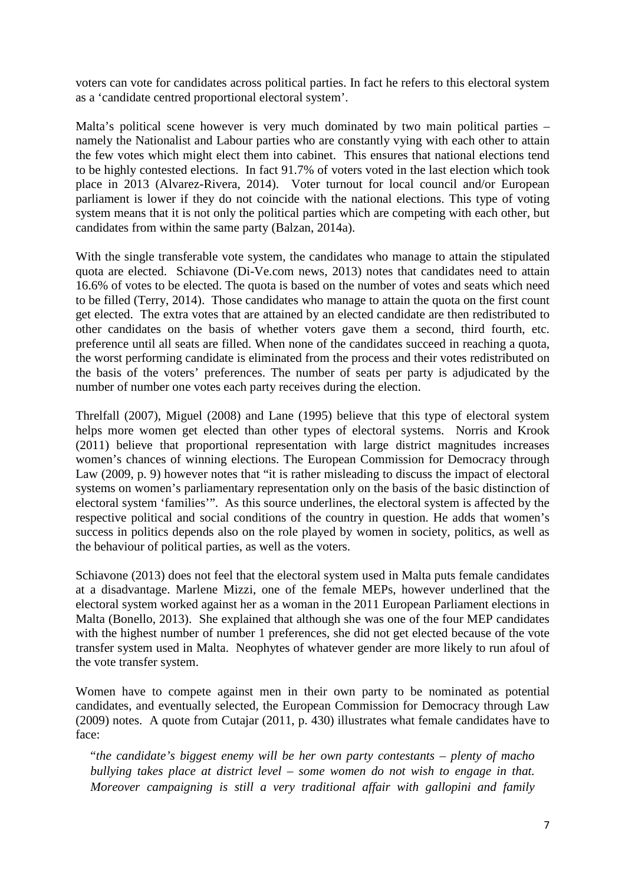voters can vote for candidates across political parties. In fact he refers to this electoral system as a 'candidate centred proportional electoral system'.

Malta's political scene however is very much dominated by two main political parties – namely the Nationalist and Labour parties who are constantly vying with each other to attain the few votes which might elect them into cabinet. This ensures that national elections tend to be highly contested elections. In fact 91.7% of voters voted in the last election which took place in 2013 (Alvarez-Rivera, 2014). Voter turnout for local council and/or European parliament is lower if they do not coincide with the national elections. This type of voting system means that it is not only the political parties which are competing with each other, but candidates from within the same party (Balzan, 2014a).

With the single transferable vote system, the candidates who manage to attain the stipulated quota are elected. Schiavone (Di-Ve.com news, 2013) notes that candidates need to attain 16.6% of votes to be elected. The quota is based on the number of votes and seats which need to be filled (Terry, 2014). Those candidates who manage to attain the quota on the first count get elected. The extra votes that are attained by an elected candidate are then redistributed to other candidates on the basis of whether voters gave them a second, third fourth, etc. preference until all seats are filled. When none of the candidates succeed in reaching a quota, the worst performing candidate is eliminated from the process and their votes redistributed on the basis of the voters' preferences. The number of seats per party is adjudicated by the number of number one votes each party receives during the election.

Threlfall (2007), Miguel (2008) and Lane (1995) believe that this type of electoral system helps more women get elected than other types of electoral systems. Norris and Krook (2011) believe that proportional representation with large district magnitudes increases women's chances of winning elections. The European Commission for Democracy through Law (2009, p. 9) however notes that "it is rather misleading to discuss the impact of electoral systems on women's parliamentary representation only on the basis of the basic distinction of electoral system 'families'". As this source underlines, the electoral system is affected by the respective political and social conditions of the country in question. He adds that women's success in politics depends also on the role played by women in society, politics, as well as the behaviour of political parties, as well as the voters.

Schiavone (2013) does not feel that the electoral system used in Malta puts female candidates at a disadvantage. Marlene Mizzi, one of the female MEPs, however underlined that the electoral system worked against her as a woman in the 2011 European Parliament elections in Malta (Bonello, 2013). She explained that although she was one of the four MEP candidates with the highest number of number 1 preferences, she did not get elected because of the vote transfer system used in Malta. Neophytes of whatever gender are more likely to run afoul of the vote transfer system.

Women have to compete against men in their own party to be nominated as potential candidates, and eventually selected, the European Commission for Democracy through Law (2009) notes. A quote from Cutajar (2011, p. 430) illustrates what female candidates have to face:

"*the candidate's biggest enemy will be her own party contestants – plenty of macho bullying takes place at district level – some women do not wish to engage in that. Moreover campaigning is still a very traditional affair with gallopini and family*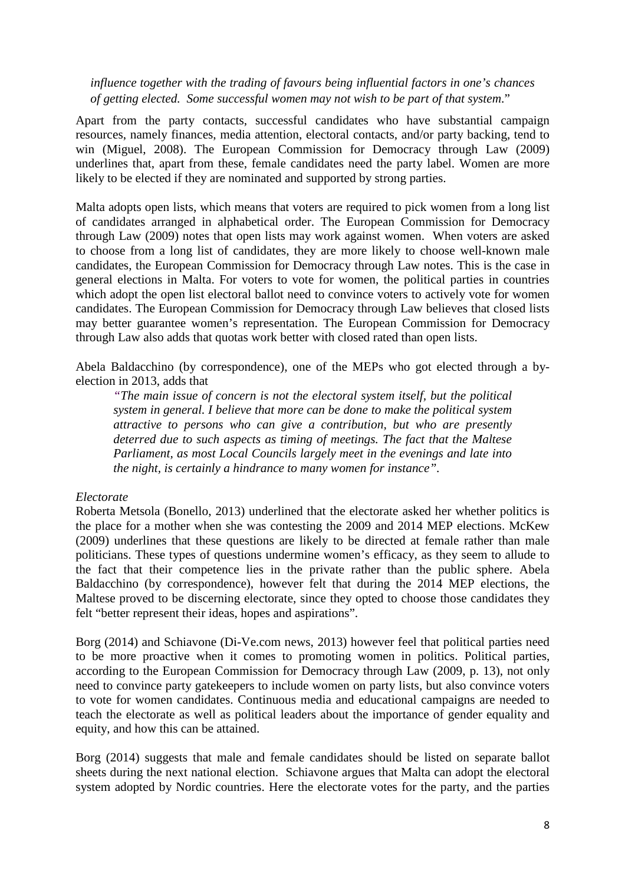*influence together with the trading of favours being influential factors in one's chances of getting elected. Some successful women may not wish to be part of that system*."

Apart from the party contacts, successful candidates who have substantial campaign resources, namely finances, media attention, electoral contacts, and/or party backing, tend to win (Miguel, 2008). The European Commission for Democracy through Law (2009) underlines that, apart from these, female candidates need the party label. Women are more likely to be elected if they are nominated and supported by strong parties.

Malta adopts open lists, which means that voters are required to pick women from a long list of candidates arranged in alphabetical order. The European Commission for Democracy through Law (2009) notes that open lists may work against women. When voters are asked to choose from a long list of candidates, they are more likely to choose well-known male candidates, the European Commission for Democracy through Law notes. This is the case in general elections in Malta. For voters to vote for women, the political parties in countries which adopt the open list electoral ballot need to convince voters to actively vote for women candidates. The European Commission for Democracy through Law believes that closed lists may better guarantee women's representation. The European Commission for Democracy through Law also adds that quotas work better with closed rated than open lists.

Abela Baldacchino (by correspondence), one of the MEPs who got elected through a byelection in 2013, adds that

*"The main issue of concern is not the electoral system itself, but the political system in general. I believe that more can be done to make the political system attractive to persons who can give a contribution, but who are presently deterred due to such aspects as timing of meetings. The fact that the Maltese Parliament, as most Local Councils largely meet in the evenings and late into the night, is certainly a hindrance to many women for instance".*

#### *Electorate*

Roberta Metsola (Bonello, 2013) underlined that the electorate asked her whether politics is the place for a mother when she was contesting the 2009 and 2014 MEP elections. McKew (2009) underlines that these questions are likely to be directed at female rather than male politicians. These types of questions undermine women's efficacy, as they seem to allude to the fact that their competence lies in the private rather than the public sphere. Abela Baldacchino (by correspondence), however felt that during the 2014 MEP elections, the Maltese proved to be discerning electorate, since they opted to choose those candidates they felt "better represent their ideas, hopes and aspirations".

Borg (2014) and Schiavone (Di-Ve.com news, 2013) however feel that political parties need to be more proactive when it comes to promoting women in politics. Political parties, according to the European Commission for Democracy through Law (2009, p. 13), not only need to convince party gatekeepers to include women on party lists, but also convince voters to vote for women candidates. Continuous media and educational campaigns are needed to teach the electorate as well as political leaders about the importance of gender equality and equity, and how this can be attained.

Borg (2014) suggests that male and female candidates should be listed on separate ballot sheets during the next national election. Schiavone argues that Malta can adopt the electoral system adopted by Nordic countries. Here the electorate votes for the party, and the parties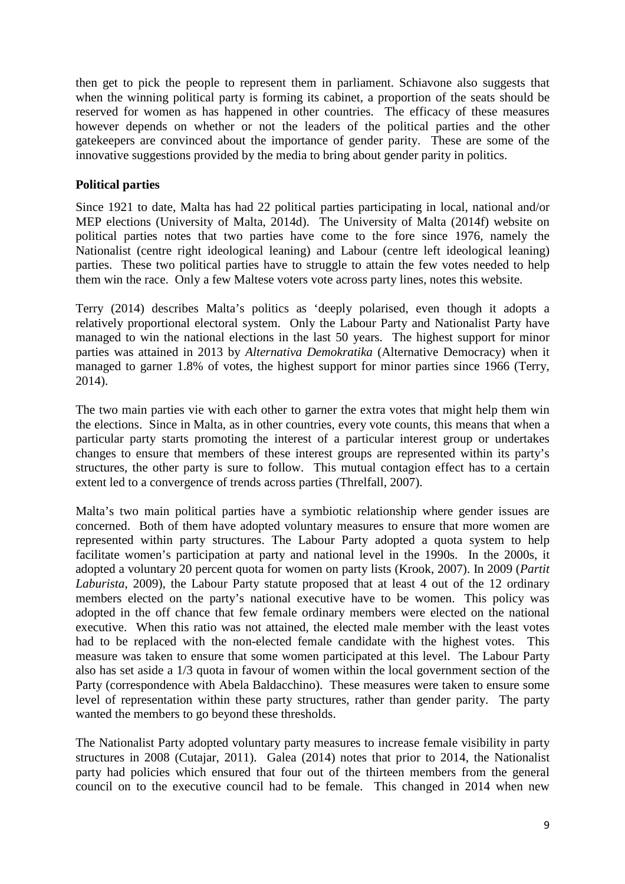then get to pick the people to represent them in parliament. Schiavone also suggests that when the winning political party is forming its cabinet, a proportion of the seats should be reserved for women as has happened in other countries. The efficacy of these measures however depends on whether or not the leaders of the political parties and the other gatekeepers are convinced about the importance of gender parity. These are some of the innovative suggestions provided by the media to bring about gender parity in politics.

## **Political parties**

Since 1921 to date, Malta has had 22 political parties participating in local, national and/or MEP elections (University of Malta, 2014d). The University of Malta (2014f) website on political parties notes that two parties have come to the fore since 1976, namely the Nationalist (centre right ideological leaning) and Labour (centre left ideological leaning) parties. These two political parties have to struggle to attain the few votes needed to help them win the race. Only a few Maltese voters vote across party lines, notes this website.

Terry (2014) describes Malta's politics as 'deeply polarised, even though it adopts a relatively proportional electoral system. Only the Labour Party and Nationalist Party have managed to win the national elections in the last 50 years. The highest support for minor parties was attained in 2013 by *Alternativa Demokratika* (Alternative Democracy) when it managed to garner 1.8% of votes, the highest support for minor parties since 1966 (Terry, 2014).

The two main parties vie with each other to garner the extra votes that might help them win the elections. Since in Malta, as in other countries, every vote counts, this means that when a particular party starts promoting the interest of a particular interest group or undertakes changes to ensure that members of these interest groups are represented within its party's structures, the other party is sure to follow. This mutual contagion effect has to a certain extent led to a convergence of trends across parties (Threlfall, 2007).

Malta's two main political parties have a symbiotic relationship where gender issues are concerned. Both of them have adopted voluntary measures to ensure that more women are represented within party structures. The Labour Party adopted a quota system to help facilitate women's participation at party and national level in the 1990s. In the 2000s, it adopted a voluntary 20 percent quota for women on party lists (Krook, 2007). In 2009 (*Partit Laburista*, 2009), the Labour Party statute proposed that at least 4 out of the 12 ordinary members elected on the party's national executive have to be women. This policy was adopted in the off chance that few female ordinary members were elected on the national executive. When this ratio was not attained, the elected male member with the least votes had to be replaced with the non-elected female candidate with the highest votes. This measure was taken to ensure that some women participated at this level. The Labour Party also has set aside a 1/3 quota in favour of women within the local government section of the Party (correspondence with Abela Baldacchino). These measures were taken to ensure some level of representation within these party structures, rather than gender parity. The party wanted the members to go beyond these thresholds.

The Nationalist Party adopted voluntary party measures to increase female visibility in party structures in 2008 (Cutajar, 2011). Galea (2014) notes that prior to 2014, the Nationalist party had policies which ensured that four out of the thirteen members from the general council on to the executive council had to be female. This changed in 2014 when new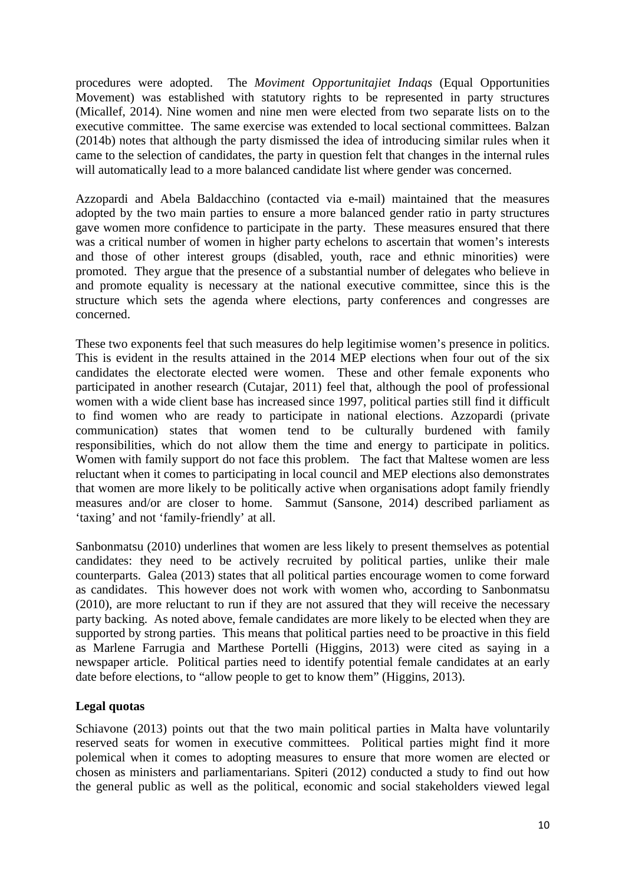procedures were adopted. The *Moviment Opportunitajiet Indaqs* (Equal Opportunities Movement) was established with statutory rights to be represented in party structures (Micallef, 2014). Nine women and nine men were elected from two separate lists on to the executive committee. The same exercise was extended to local sectional committees. Balzan (2014b) notes that although the party dismissed the idea of introducing similar rules when it came to the selection of candidates, the party in question felt that changes in the internal rules will automatically lead to a more balanced candidate list where gender was concerned.

Azzopardi and Abela Baldacchino (contacted via e-mail) maintained that the measures adopted by the two main parties to ensure a more balanced gender ratio in party structures gave women more confidence to participate in the party. These measures ensured that there was a critical number of women in higher party echelons to ascertain that women's interests and those of other interest groups (disabled, youth, race and ethnic minorities) were promoted. They argue that the presence of a substantial number of delegates who believe in and promote equality is necessary at the national executive committee, since this is the structure which sets the agenda where elections, party conferences and congresses are concerned.

These two exponents feel that such measures do help legitimise women's presence in politics. This is evident in the results attained in the 2014 MEP elections when four out of the six candidates the electorate elected were women. These and other female exponents who participated in another research (Cutajar, 2011) feel that, although the pool of professional women with a wide client base has increased since 1997, political parties still find it difficult to find women who are ready to participate in national elections. Azzopardi (private communication) states that women tend to be culturally burdened with family responsibilities, which do not allow them the time and energy to participate in politics. Women with family support do not face this problem. The fact that Maltese women are less reluctant when it comes to participating in local council and MEP elections also demonstrates that women are more likely to be politically active when organisations adopt family friendly measures and/or are closer to home. Sammut (Sansone, 2014) described parliament as 'taxing' and not 'family-friendly' at all.

Sanbonmatsu (2010) underlines that women are less likely to present themselves as potential candidates: they need to be actively recruited by political parties, unlike their male counterparts. Galea (2013) states that all political parties encourage women to come forward as candidates. This however does not work with women who, according to Sanbonmatsu (2010), are more reluctant to run if they are not assured that they will receive the necessary party backing. As noted above, female candidates are more likely to be elected when they are supported by strong parties. This means that political parties need to be proactive in this field as Marlene Farrugia and Marthese Portelli (Higgins, 2013) were cited as saying in a newspaper article. Political parties need to identify potential female candidates at an early date before elections, to "allow people to get to know them" (Higgins, 2013).

## **Legal quotas**

Schiavone (2013) points out that the two main political parties in Malta have voluntarily reserved seats for women in executive committees. Political parties might find it more polemical when it comes to adopting measures to ensure that more women are elected or chosen as ministers and parliamentarians. Spiteri (2012) conducted a study to find out how the general public as well as the political, economic and social stakeholders viewed legal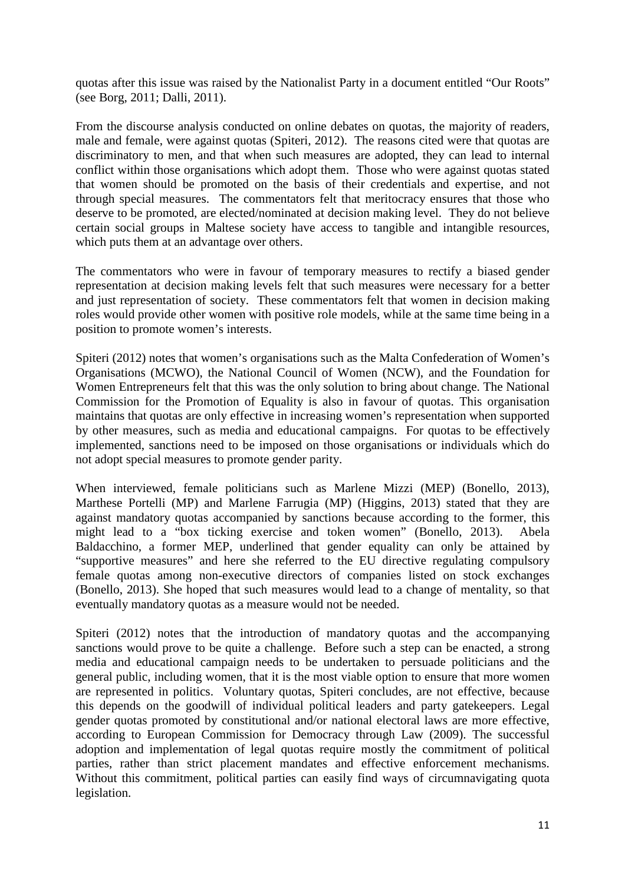quotas after this issue was raised by the Nationalist Party in a document entitled "Our Roots" (see Borg, 2011; Dalli, 2011).

From the discourse analysis conducted on online debates on quotas, the majority of readers, male and female, were against quotas (Spiteri, 2012). The reasons cited were that quotas are discriminatory to men, and that when such measures are adopted, they can lead to internal conflict within those organisations which adopt them. Those who were against quotas stated that women should be promoted on the basis of their credentials and expertise, and not through special measures. The commentators felt that meritocracy ensures that those who deserve to be promoted, are elected/nominated at decision making level. They do not believe certain social groups in Maltese society have access to tangible and intangible resources, which puts them at an advantage over others.

The commentators who were in favour of temporary measures to rectify a biased gender representation at decision making levels felt that such measures were necessary for a better and just representation of society. These commentators felt that women in decision making roles would provide other women with positive role models, while at the same time being in a position to promote women's interests.

Spiteri (2012) notes that women's organisations such as the Malta Confederation of Women's Organisations (MCWO), the National Council of Women (NCW), and the Foundation for Women Entrepreneurs felt that this was the only solution to bring about change. The National Commission for the Promotion of Equality is also in favour of quotas. This organisation maintains that quotas are only effective in increasing women's representation when supported by other measures, such as media and educational campaigns. For quotas to be effectively implemented, sanctions need to be imposed on those organisations or individuals which do not adopt special measures to promote gender parity.

When interviewed, female politicians such as Marlene Mizzi (MEP) (Bonello, 2013), Marthese Portelli (MP) and Marlene Farrugia (MP) (Higgins, 2013) stated that they are against mandatory quotas accompanied by sanctions because according to the former, this might lead to a "box ticking exercise and token women" (Bonello, 2013). Abela Baldacchino, a former MEP, underlined that gender equality can only be attained by "supportive measures" and here she referred to the EU directive regulating compulsory female quotas among non-executive directors of companies listed on stock exchanges (Bonello, 2013). She hoped that such measures would lead to a change of mentality, so that eventually mandatory quotas as a measure would not be needed.

Spiteri (2012) notes that the introduction of mandatory quotas and the accompanying sanctions would prove to be quite a challenge. Before such a step can be enacted, a strong media and educational campaign needs to be undertaken to persuade politicians and the general public, including women, that it is the most viable option to ensure that more women are represented in politics. Voluntary quotas, Spiteri concludes, are not effective, because this depends on the goodwill of individual political leaders and party gatekeepers. Legal gender quotas promoted by constitutional and/or national electoral laws are more effective, according to European Commission for Democracy through Law (2009). The successful adoption and implementation of legal quotas require mostly the commitment of political parties, rather than strict placement mandates and effective enforcement mechanisms. Without this commitment, political parties can easily find ways of circumnavigating quota legislation.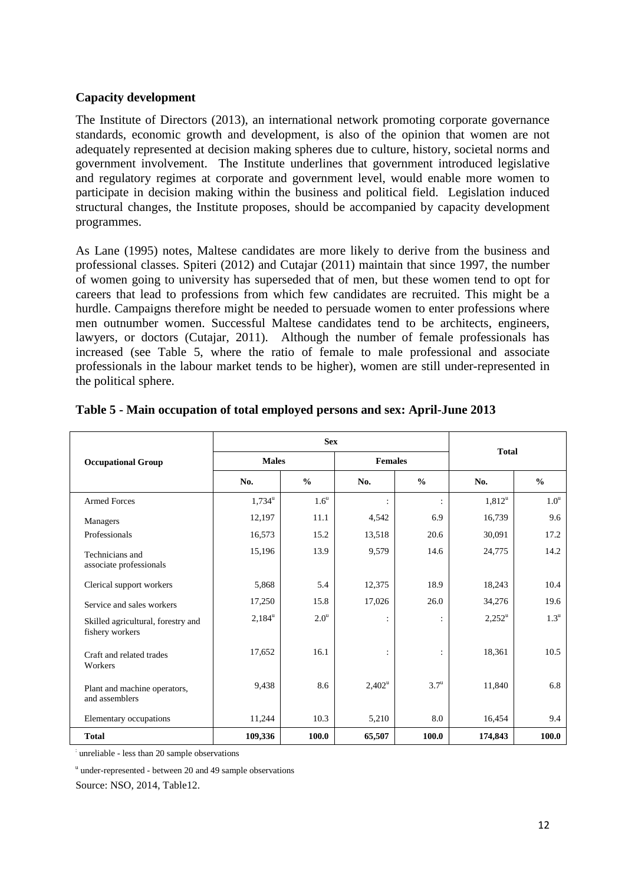#### **Capacity development**

The Institute of Directors (2013), an international network promoting corporate governance standards, economic growth and development, is also of the opinion that women are not adequately represented at decision making spheres due to culture, history, societal norms and government involvement. The Institute underlines that government introduced legislative and regulatory regimes at corporate and government level, would enable more women to participate in decision making within the business and political field. Legislation induced structural changes, the Institute proposes, should be accompanied by capacity development programmes.

As Lane (1995) notes, Maltese candidates are more likely to derive from the business and professional classes. Spiteri (2012) and Cutajar (2011) maintain that since 1997, the number of women going to university has superseded that of men, but these women tend to opt for careers that lead to professions from which few candidates are recruited. This might be a hurdle. Campaigns therefore might be needed to persuade women to enter professions where men outnumber women. Successful Maltese candidates tend to be architects, engineers, lawyers, or doctors (Cutajar, 2011). Although the number of female professionals has increased (see Table 5, where the ratio of female to male professional and associate professionals in the labour market tends to be higher), women are still under-represented in the political sphere.

|                                                       | <b>Sex</b>           |                  |                |                    | <b>Total</b>         |                    |
|-------------------------------------------------------|----------------------|------------------|----------------|--------------------|----------------------|--------------------|
| <b>Occupational Group</b>                             | <b>Males</b>         |                  | <b>Females</b> |                    |                      |                    |
|                                                       | No.                  | $\frac{0}{0}$    | No.            | $\frac{0}{0}$      | No.                  | $\frac{0}{0}$      |
| <b>Armed Forces</b>                                   | $1,734^{\mathrm{u}}$ | 1.6 <sup>u</sup> | $\ddot{\cdot}$ | $\ddot{\cdot}$     | $1,812^u$            | 1.0 <sup>u</sup>   |
| Managers                                              | 12,197               | 11.1             | 4,542          | 6.9                | 16,739               | 9.6                |
| Professionals                                         | 16,573               | 15.2             | 13,518         | 20.6               | 30,091               | 17.2               |
| Technicians and<br>associate professionals            | 15,196               | 13.9             | 9,579          | 14.6               | 24,775               | 14.2               |
| Clerical support workers                              | 5,868                | 5.4              | 12,375         | 18.9               | 18,243               | 10.4               |
| Service and sales workers                             | 17,250               | 15.8             | 17,026         | 26.0               | 34,276               | 19.6               |
| Skilled agricultural, forestry and<br>fishery workers | $2,184^{\mathrm{u}}$ | 2.0 <sup>u</sup> | $\ddot{\cdot}$ | $\ddot{\cdot}$     | $2,252^{\mathrm{u}}$ | $1.3^{\mathrm{u}}$ |
| Craft and related trades<br>Workers                   | 17,652               | 16.1             | $\ddot{\cdot}$ | ÷                  | 18,361               | 10.5               |
| Plant and machine operators,<br>and assemblers        | 9,438                | 8.6              | $2,402^u$      | $3.7^{\mathrm{u}}$ | 11,840               | 6.8                |
| Elementary occupations                                | 11,244               | 10.3             | 5,210          | 8.0                | 16,454               | 9.4                |
| <b>Total</b>                                          | 109,336              | 100.0            | 65,507         | 100.0              | 174,843              | 100.0              |

#### **Table 5 - Main occupation of total employed persons and sex: April-June 2013**

: unreliable - less than 20 sample observations

u under-represented - between 20 and 49 sample observations

Source: NSO, 2014, Table12.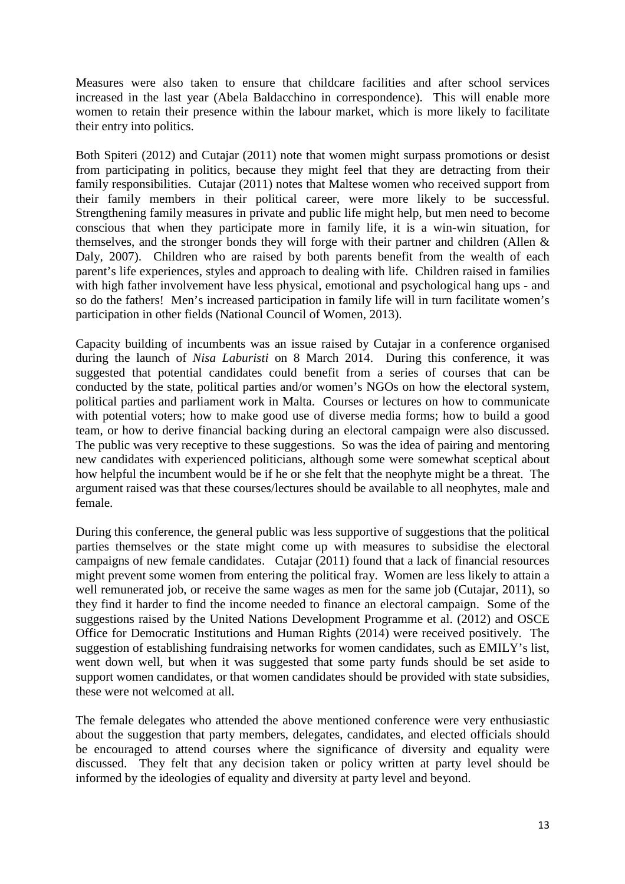Measures were also taken to ensure that childcare facilities and after school services increased in the last year (Abela Baldacchino in correspondence). This will enable more women to retain their presence within the labour market, which is more likely to facilitate their entry into politics.

Both Spiteri (2012) and Cutajar (2011) note that women might surpass promotions or desist from participating in politics, because they might feel that they are detracting from their family responsibilities. Cutajar (2011) notes that Maltese women who received support from their family members in their political career, were more likely to be successful. Strengthening family measures in private and public life might help, but men need to become conscious that when they participate more in family life, it is a win-win situation, for themselves, and the stronger bonds they will forge with their partner and children (Allen & Daly, 2007). Children who are raised by both parents benefit from the wealth of each parent's life experiences, styles and approach to dealing with life. Children raised in families with high father involvement have less physical, emotional and psychological hang ups - and so do the fathers! Men's increased participation in family life will in turn facilitate women's participation in other fields (National Council of Women, 2013).

Capacity building of incumbents was an issue raised by Cutajar in a conference organised during the launch of *Nisa Laburisti* on 8 March 2014. During this conference, it was suggested that potential candidates could benefit from a series of courses that can be conducted by the state, political parties and/or women's NGOs on how the electoral system, political parties and parliament work in Malta. Courses or lectures on how to communicate with potential voters; how to make good use of diverse media forms; how to build a good team, or how to derive financial backing during an electoral campaign were also discussed. The public was very receptive to these suggestions. So was the idea of pairing and mentoring new candidates with experienced politicians, although some were somewhat sceptical about how helpful the incumbent would be if he or she felt that the neophyte might be a threat. The argument raised was that these courses/lectures should be available to all neophytes, male and female.

During this conference, the general public was less supportive of suggestions that the political parties themselves or the state might come up with measures to subsidise the electoral campaigns of new female candidates. Cutajar (2011) found that a lack of financial resources might prevent some women from entering the political fray. Women are less likely to attain a well remunerated job, or receive the same wages as men for the same job (Cutajar, 2011), so they find it harder to find the income needed to finance an electoral campaign. Some of the suggestions raised by the United Nations Development Programme et al. (2012) and OSCE Office for Democratic Institutions and Human Rights (2014) were received positively. The suggestion of establishing fundraising networks for women candidates, such as EMILY's list, went down well, but when it was suggested that some party funds should be set aside to support women candidates, or that women candidates should be provided with state subsidies, these were not welcomed at all.

The female delegates who attended the above mentioned conference were very enthusiastic about the suggestion that party members, delegates, candidates, and elected officials should be encouraged to attend courses where the significance of diversity and equality were discussed. They felt that any decision taken or policy written at party level should be informed by the ideologies of equality and diversity at party level and beyond.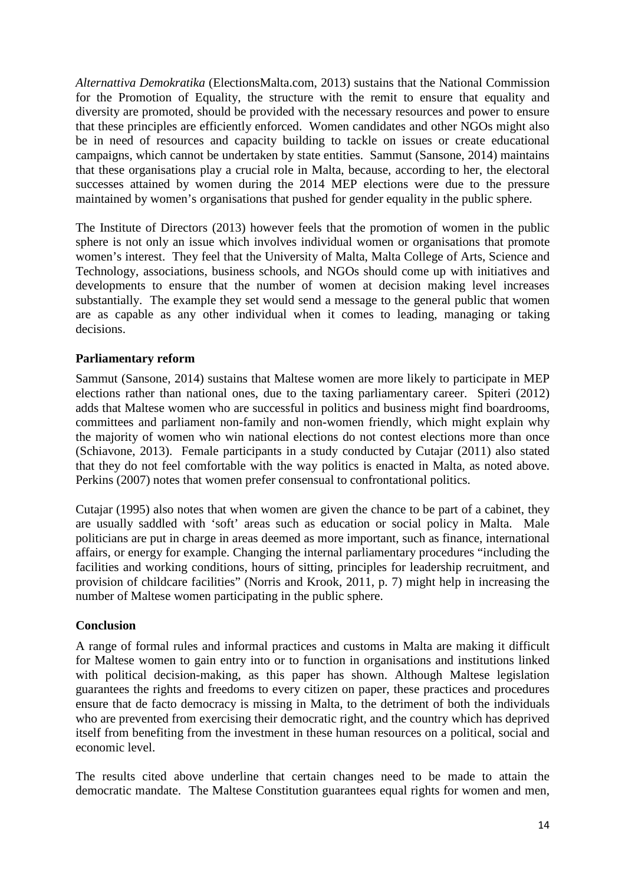*Alternattiva Demokratika* (ElectionsMalta.com, 2013) sustains that the National Commission for the Promotion of Equality, the structure with the remit to ensure that equality and diversity are promoted, should be provided with the necessary resources and power to ensure that these principles are efficiently enforced. Women candidates and other NGOs might also be in need of resources and capacity building to tackle on issues or create educational campaigns, which cannot be undertaken by state entities. Sammut (Sansone, 2014) maintains that these organisations play a crucial role in Malta, because, according to her, the electoral successes attained by women during the 2014 MEP elections were due to the pressure maintained by women's organisations that pushed for gender equality in the public sphere.

The Institute of Directors (2013) however feels that the promotion of women in the public sphere is not only an issue which involves individual women or organisations that promote women's interest. They feel that the University of Malta, Malta College of Arts, Science and Technology, associations, business schools, and NGOs should come up with initiatives and developments to ensure that the number of women at decision making level increases substantially. The example they set would send a message to the general public that women are as capable as any other individual when it comes to leading, managing or taking decisions.

## **Parliamentary reform**

Sammut (Sansone, 2014) sustains that Maltese women are more likely to participate in MEP elections rather than national ones, due to the taxing parliamentary career. Spiteri (2012) adds that Maltese women who are successful in politics and business might find boardrooms, committees and parliament non-family and non-women friendly, which might explain why the majority of women who win national elections do not contest elections more than once (Schiavone, 2013). Female participants in a study conducted by Cutajar (2011) also stated that they do not feel comfortable with the way politics is enacted in Malta, as noted above. Perkins (2007) notes that women prefer consensual to confrontational politics.

Cutajar (1995) also notes that when women are given the chance to be part of a cabinet, they are usually saddled with 'soft' areas such as education or social policy in Malta. Male politicians are put in charge in areas deemed as more important, such as finance, international affairs, or energy for example. Changing the internal parliamentary procedures "including the facilities and working conditions, hours of sitting, principles for leadership recruitment, and provision of childcare facilities" (Norris and Krook, 2011, p. 7) might help in increasing the number of Maltese women participating in the public sphere.

#### **Conclusion**

A range of formal rules and informal practices and customs in Malta are making it difficult for Maltese women to gain entry into or to function in organisations and institutions linked with political decision-making, as this paper has shown. Although Maltese legislation guarantees the rights and freedoms to every citizen on paper, these practices and procedures ensure that de facto democracy is missing in Malta, to the detriment of both the individuals who are prevented from exercising their democratic right, and the country which has deprived itself from benefiting from the investment in these human resources on a political, social and economic level.

The results cited above underline that certain changes need to be made to attain the democratic mandate. The Maltese Constitution guarantees equal rights for women and men,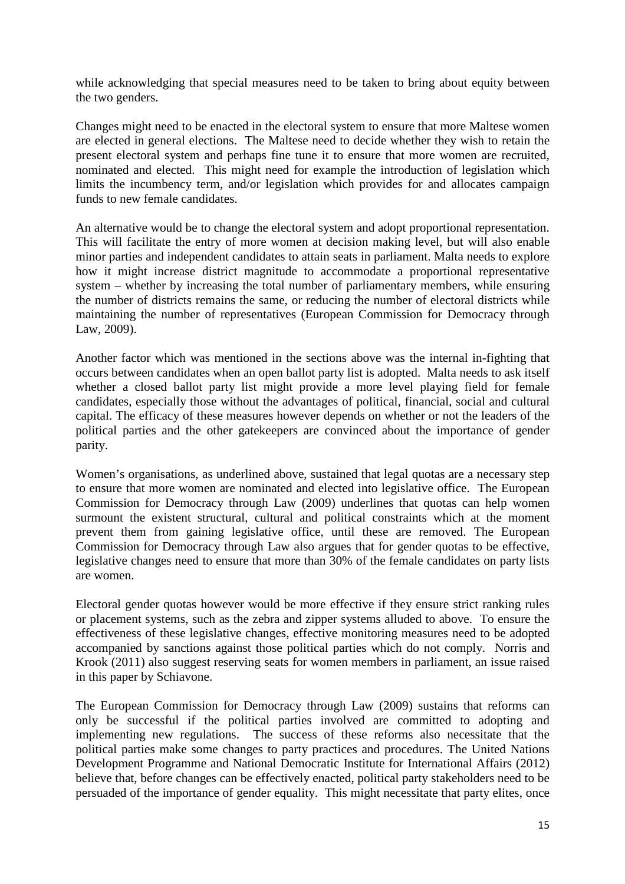while acknowledging that special measures need to be taken to bring about equity between the two genders.

Changes might need to be enacted in the electoral system to ensure that more Maltese women are elected in general elections. The Maltese need to decide whether they wish to retain the present electoral system and perhaps fine tune it to ensure that more women are recruited, nominated and elected. This might need for example the introduction of legislation which limits the incumbency term, and/or legislation which provides for and allocates campaign funds to new female candidates.

An alternative would be to change the electoral system and adopt proportional representation. This will facilitate the entry of more women at decision making level, but will also enable minor parties and independent candidates to attain seats in parliament. Malta needs to explore how it might increase district magnitude to accommodate a proportional representative system – whether by increasing the total number of parliamentary members, while ensuring the number of districts remains the same, or reducing the number of electoral districts while maintaining the number of representatives (European Commission for Democracy through Law, 2009).

Another factor which was mentioned in the sections above was the internal in-fighting that occurs between candidates when an open ballot party list is adopted. Malta needs to ask itself whether a closed ballot party list might provide a more level playing field for female candidates, especially those without the advantages of political, financial, social and cultural capital. The efficacy of these measures however depends on whether or not the leaders of the political parties and the other gatekeepers are convinced about the importance of gender parity.

Women's organisations, as underlined above, sustained that legal quotas are a necessary step to ensure that more women are nominated and elected into legislative office. The European Commission for Democracy through Law (2009) underlines that quotas can help women surmount the existent structural, cultural and political constraints which at the moment prevent them from gaining legislative office, until these are removed. The European Commission for Democracy through Law also argues that for gender quotas to be effective, legislative changes need to ensure that more than 30% of the female candidates on party lists are women.

Electoral gender quotas however would be more effective if they ensure strict ranking rules or placement systems, such as the zebra and zipper systems alluded to above. To ensure the effectiveness of these legislative changes, effective monitoring measures need to be adopted accompanied by sanctions against those political parties which do not comply. Norris and Krook (2011) also suggest reserving seats for women members in parliament, an issue raised in this paper by Schiavone.

The European Commission for Democracy through Law (2009) sustains that reforms can only be successful if the political parties involved are committed to adopting and implementing new regulations. The success of these reforms also necessitate that the political parties make some changes to party practices and procedures. The United Nations Development Programme and National Democratic Institute for International Affairs (2012) believe that, before changes can be effectively enacted, political party stakeholders need to be persuaded of the importance of gender equality. This might necessitate that party elites, once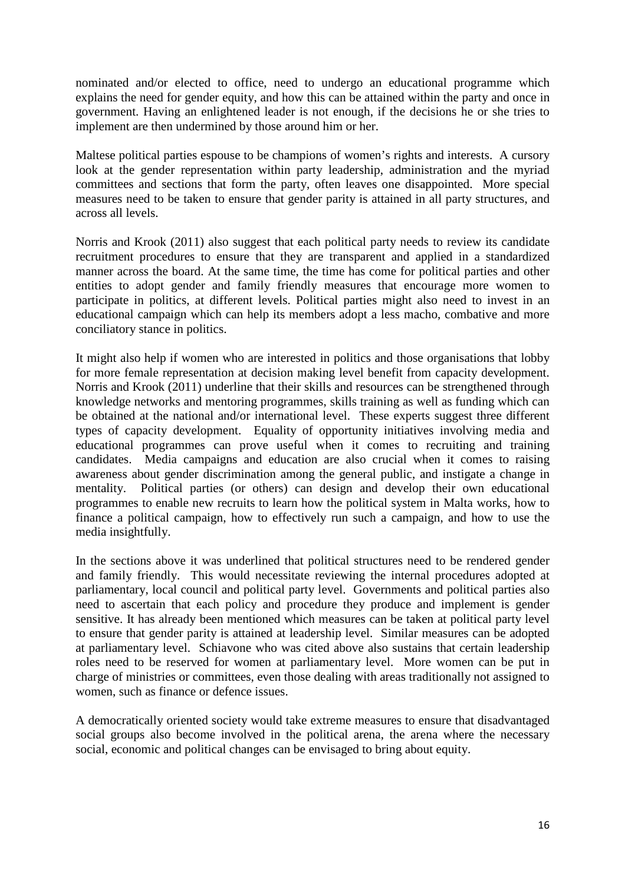nominated and/or elected to office, need to undergo an educational programme which explains the need for gender equity, and how this can be attained within the party and once in government. Having an enlightened leader is not enough, if the decisions he or she tries to implement are then undermined by those around him or her.

Maltese political parties espouse to be champions of women's rights and interests. A cursory look at the gender representation within party leadership, administration and the myriad committees and sections that form the party, often leaves one disappointed. More special measures need to be taken to ensure that gender parity is attained in all party structures, and across all levels.

Norris and Krook (2011) also suggest that each political party needs to review its candidate recruitment procedures to ensure that they are transparent and applied in a standardized manner across the board. At the same time, the time has come for political parties and other entities to adopt gender and family friendly measures that encourage more women to participate in politics, at different levels. Political parties might also need to invest in an educational campaign which can help its members adopt a less macho, combative and more conciliatory stance in politics.

It might also help if women who are interested in politics and those organisations that lobby for more female representation at decision making level benefit from capacity development. Norris and Krook (2011) underline that their skills and resources can be strengthened through knowledge networks and mentoring programmes, skills training as well as funding which can be obtained at the national and/or international level. These experts suggest three different types of capacity development. Equality of opportunity initiatives involving media and educational programmes can prove useful when it comes to recruiting and training candidates. Media campaigns and education are also crucial when it comes to raising awareness about gender discrimination among the general public, and instigate a change in mentality. Political parties (or others) can design and develop their own educational programmes to enable new recruits to learn how the political system in Malta works, how to finance a political campaign, how to effectively run such a campaign, and how to use the media insightfully.

In the sections above it was underlined that political structures need to be rendered gender and family friendly. This would necessitate reviewing the internal procedures adopted at parliamentary, local council and political party level. Governments and political parties also need to ascertain that each policy and procedure they produce and implement is gender sensitive. It has already been mentioned which measures can be taken at political party level to ensure that gender parity is attained at leadership level. Similar measures can be adopted at parliamentary level. Schiavone who was cited above also sustains that certain leadership roles need to be reserved for women at parliamentary level. More women can be put in charge of ministries or committees, even those dealing with areas traditionally not assigned to women, such as finance or defence issues.

A democratically oriented society would take extreme measures to ensure that disadvantaged social groups also become involved in the political arena, the arena where the necessary social, economic and political changes can be envisaged to bring about equity.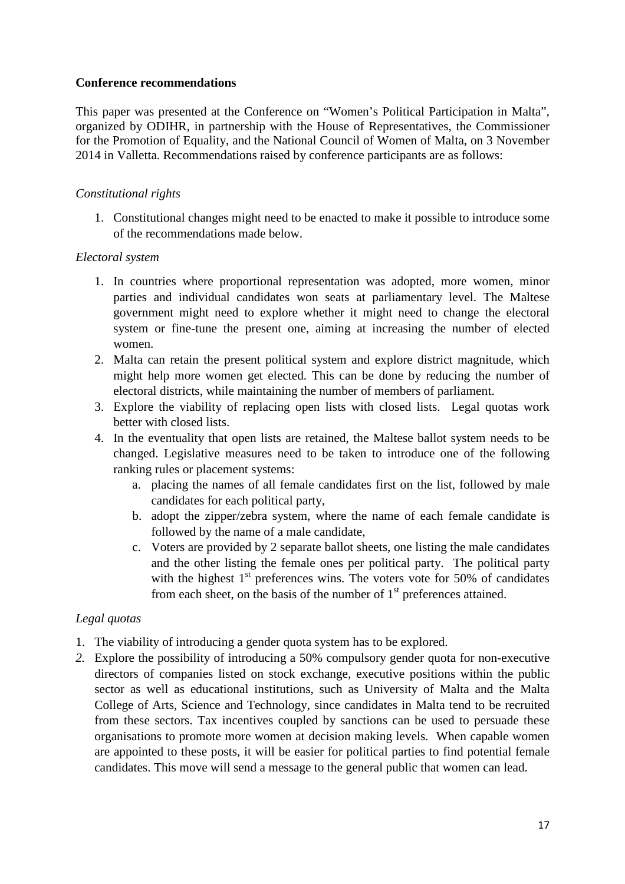## **Conference recommendations**

This paper was presented at the Conference on "Women's Political Participation in Malta", organized by ODIHR, in partnership with the House of Representatives, the Commissioner for the Promotion of Equality, and the National Council of Women of Malta, on 3 November 2014 in Valletta. Recommendations raised by conference participants are as follows:

## *Constitutional rights*

1. Constitutional changes might need to be enacted to make it possible to introduce some of the recommendations made below.

## *Electoral system*

- 1. In countries where proportional representation was adopted, more women, minor parties and individual candidates won seats at parliamentary level. The Maltese government might need to explore whether it might need to change the electoral system or fine-tune the present one, aiming at increasing the number of elected women.
- 2. Malta can retain the present political system and explore district magnitude, which might help more women get elected. This can be done by reducing the number of electoral districts, while maintaining the number of members of parliament.
- 3. Explore the viability of replacing open lists with closed lists. Legal quotas work better with closed lists.
- 4. In the eventuality that open lists are retained, the Maltese ballot system needs to be changed. Legislative measures need to be taken to introduce one of the following ranking rules or placement systems:
	- a. placing the names of all female candidates first on the list, followed by male candidates for each political party,
	- b. adopt the zipper/zebra system, where the name of each female candidate is followed by the name of a male candidate,
	- c. Voters are provided by 2 separate ballot sheets, one listing the male candidates and the other listing the female ones per political party. The political party with the highest  $1<sup>st</sup>$  preferences wins. The voters vote for 50% of candidates from each sheet, on the basis of the number of  $1<sup>st</sup>$  preferences attained.

## *Legal quotas*

- 1. The viability of introducing a gender quota system has to be explored.
- *2.* Explore the possibility of introducing a 50% compulsory gender quota for non-executive directors of companies listed on stock exchange, executive positions within the public sector as well as educational institutions, such as University of Malta and the Malta College of Arts, Science and Technology, since candidates in Malta tend to be recruited from these sectors. Tax incentives coupled by sanctions can be used to persuade these organisations to promote more women at decision making levels. When capable women are appointed to these posts, it will be easier for political parties to find potential female candidates. This move will send a message to the general public that women can lead.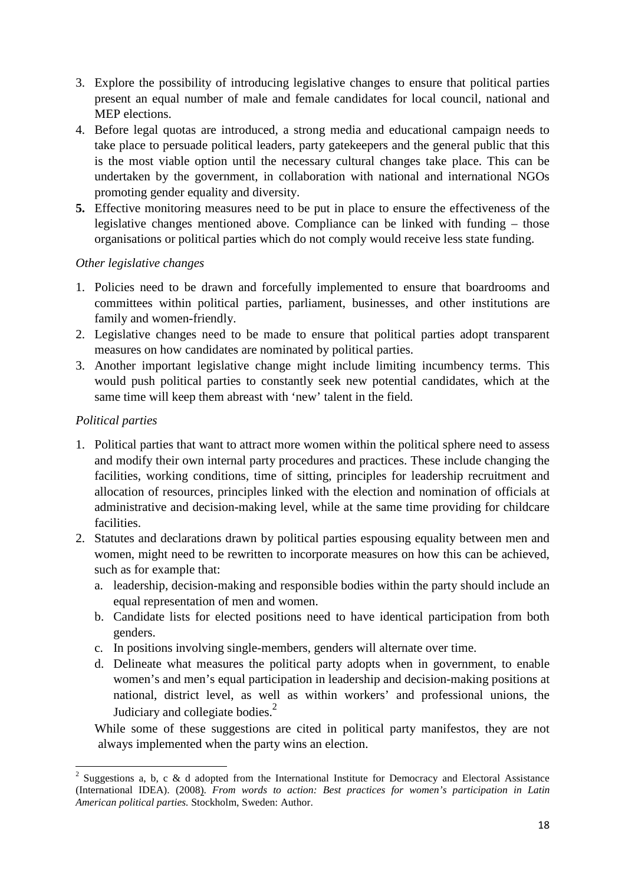- 3. Explore the possibility of introducing legislative changes to ensure that political parties present an equal number of male and female candidates for local council, national and MEP elections.
- 4. Before legal quotas are introduced, a strong media and educational campaign needs to take place to persuade political leaders, party gatekeepers and the general public that this is the most viable option until the necessary cultural changes take place. This can be undertaken by the government, in collaboration with national and international NGOs promoting gender equality and diversity.
- **5.** Effective monitoring measures need to be put in place to ensure the effectiveness of the legislative changes mentioned above. Compliance can be linked with funding – those organisations or political parties which do not comply would receive less state funding.

## *Other legislative changes*

- 1. Policies need to be drawn and forcefully implemented to ensure that boardrooms and committees within political parties, parliament, businesses, and other institutions are family and women-friendly.
- 2. Legislative changes need to be made to ensure that political parties adopt transparent measures on how candidates are nominated by political parties.
- 3. Another important legislative change might include limiting incumbency terms. This would push political parties to constantly seek new potential candidates, which at the same time will keep them abreast with 'new' talent in the field.

## *Political parties*

l

- 1. Political parties that want to attract more women within the political sphere need to assess and modify their own internal party procedures and practices. These include changing the facilities, working conditions, time of sitting, principles for leadership recruitment and allocation of resources, principles linked with the election and nomination of officials at administrative and decision-making level, while at the same time providing for childcare facilities.
- 2. Statutes and declarations drawn by political parties espousing equality between men and women, might need to be rewritten to incorporate measures on how this can be achieved, such as for example that:
	- a. leadership, decision-making and responsible bodies within the party should include an equal representation of men and women.
	- b. Candidate lists for elected positions need to have identical participation from both genders.
	- c. In positions involving single-members, genders will alternate over time.
	- d. Delineate what measures the political party adopts when in government, to enable women's and men's equal participation in leadership and decision-making positions at national, district level, as well as within workers' and professional unions, the Judiciary and collegiate bodies. $^{2}$

While some of these suggestions are cited in political party manifestos, they are not always implemented when the party wins an election.

<sup>&</sup>lt;sup>2</sup> Suggestions a, b, c & d adopted from the International Institute for Democracy and Electoral Assistance (International IDEA). (2008). *From words to action: Best practices for women's participation in Latin American political parties.* Stockholm, Sweden: Author.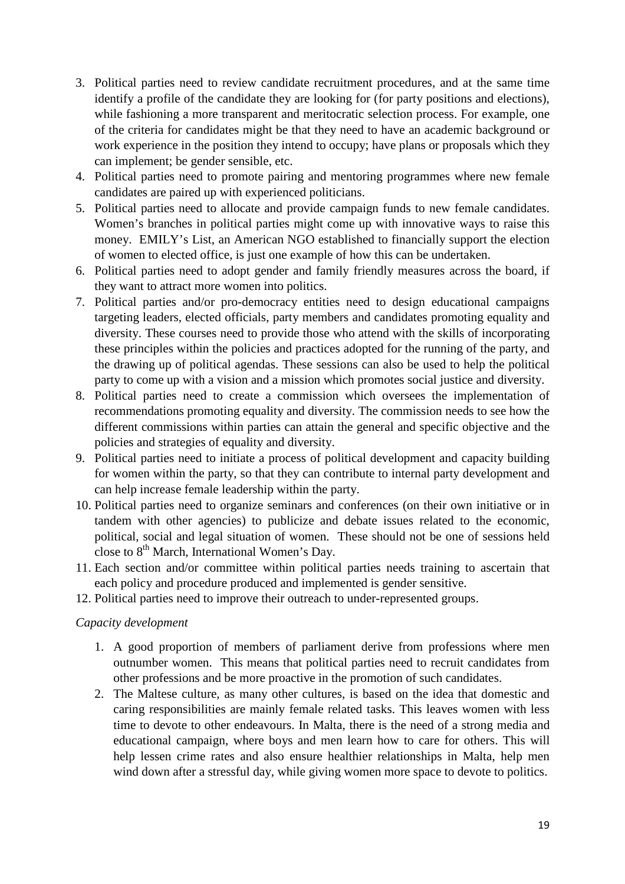- 3. Political parties need to review candidate recruitment procedures, and at the same time identify a profile of the candidate they are looking for (for party positions and elections), while fashioning a more transparent and meritocratic selection process. For example, one of the criteria for candidates might be that they need to have an academic background or work experience in the position they intend to occupy; have plans or proposals which they can implement; be gender sensible, etc.
- 4. Political parties need to promote pairing and mentoring programmes where new female candidates are paired up with experienced politicians.
- 5. Political parties need to allocate and provide campaign funds to new female candidates. Women's branches in political parties might come up with innovative ways to raise this money. EMILY's List, an American NGO established to financially support the election of women to elected office, is just one example of how this can be undertaken.
- 6. Political parties need to adopt gender and family friendly measures across the board, if they want to attract more women into politics.
- 7. Political parties and/or pro-democracy entities need to design educational campaigns targeting leaders, elected officials, party members and candidates promoting equality and diversity. These courses need to provide those who attend with the skills of incorporating these principles within the policies and practices adopted for the running of the party, and the drawing up of political agendas. These sessions can also be used to help the political party to come up with a vision and a mission which promotes social justice and diversity.
- 8. Political parties need to create a commission which oversees the implementation of recommendations promoting equality and diversity. The commission needs to see how the different commissions within parties can attain the general and specific objective and the policies and strategies of equality and diversity.
- 9. Political parties need to initiate a process of political development and capacity building for women within the party, so that they can contribute to internal party development and can help increase female leadership within the party.
- 10. Political parties need to organize seminars and conferences (on their own initiative or in tandem with other agencies) to publicize and debate issues related to the economic, political, social and legal situation of women. These should not be one of sessions held close to  $8<sup>th</sup>$  March, International Women's Day.
- 11. Each section and/or committee within political parties needs training to ascertain that each policy and procedure produced and implemented is gender sensitive.
- 12. Political parties need to improve their outreach to under-represented groups.

## *Capacity development*

- 1. A good proportion of members of parliament derive from professions where men outnumber women. This means that political parties need to recruit candidates from other professions and be more proactive in the promotion of such candidates.
- 2. The Maltese culture, as many other cultures, is based on the idea that domestic and caring responsibilities are mainly female related tasks. This leaves women with less time to devote to other endeavours. In Malta, there is the need of a strong media and educational campaign, where boys and men learn how to care for others. This will help lessen crime rates and also ensure healthier relationships in Malta, help men wind down after a stressful day, while giving women more space to devote to politics.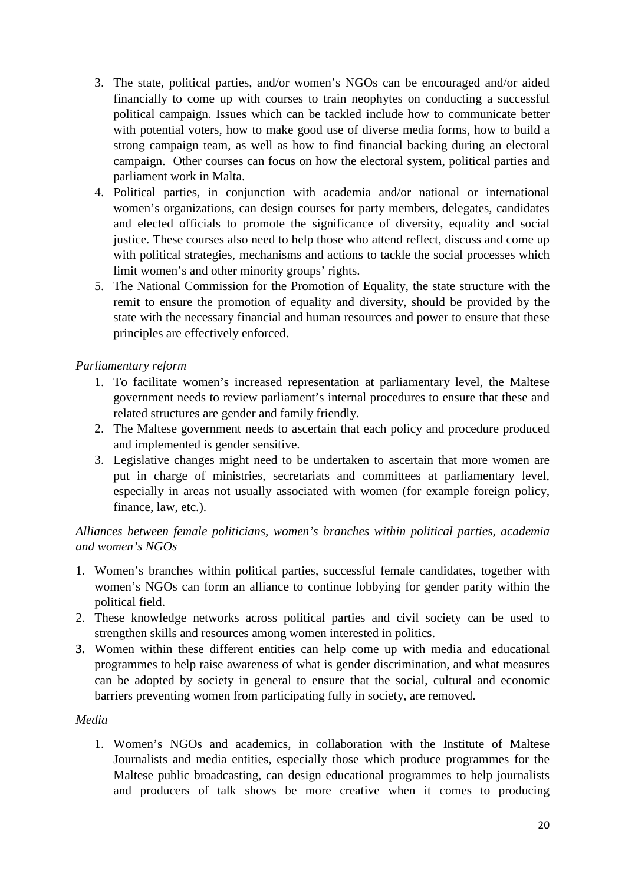- 3. The state, political parties, and/or women's NGOs can be encouraged and/or aided financially to come up with courses to train neophytes on conducting a successful political campaign. Issues which can be tackled include how to communicate better with potential voters, how to make good use of diverse media forms, how to build a strong campaign team, as well as how to find financial backing during an electoral campaign. Other courses can focus on how the electoral system, political parties and parliament work in Malta.
- 4. Political parties, in conjunction with academia and/or national or international women's organizations, can design courses for party members, delegates, candidates and elected officials to promote the significance of diversity, equality and social justice. These courses also need to help those who attend reflect, discuss and come up with political strategies, mechanisms and actions to tackle the social processes which limit women's and other minority groups' rights.
- 5. The National Commission for the Promotion of Equality, the state structure with the remit to ensure the promotion of equality and diversity, should be provided by the state with the necessary financial and human resources and power to ensure that these principles are effectively enforced.

# *Parliamentary reform*

- 1. To facilitate women's increased representation at parliamentary level, the Maltese government needs to review parliament's internal procedures to ensure that these and related structures are gender and family friendly.
- 2. The Maltese government needs to ascertain that each policy and procedure produced and implemented is gender sensitive.
- 3. Legislative changes might need to be undertaken to ascertain that more women are put in charge of ministries, secretariats and committees at parliamentary level, especially in areas not usually associated with women (for example foreign policy, finance, law, etc.).

# *Alliances between female politicians, women's branches within political parties, academia and women's NGOs*

- 1. Women's branches within political parties, successful female candidates, together with women's NGOs can form an alliance to continue lobbying for gender parity within the political field.
- 2. These knowledge networks across political parties and civil society can be used to strengthen skills and resources among women interested in politics.
- **3.** Women within these different entities can help come up with media and educational programmes to help raise awareness of what is gender discrimination, and what measures can be adopted by society in general to ensure that the social, cultural and economic barriers preventing women from participating fully in society, are removed.

#### *Media*

1. Women's NGOs and academics, in collaboration with the Institute of Maltese Journalists and media entities, especially those which produce programmes for the Maltese public broadcasting, can design educational programmes to help journalists and producers of talk shows be more creative when it comes to producing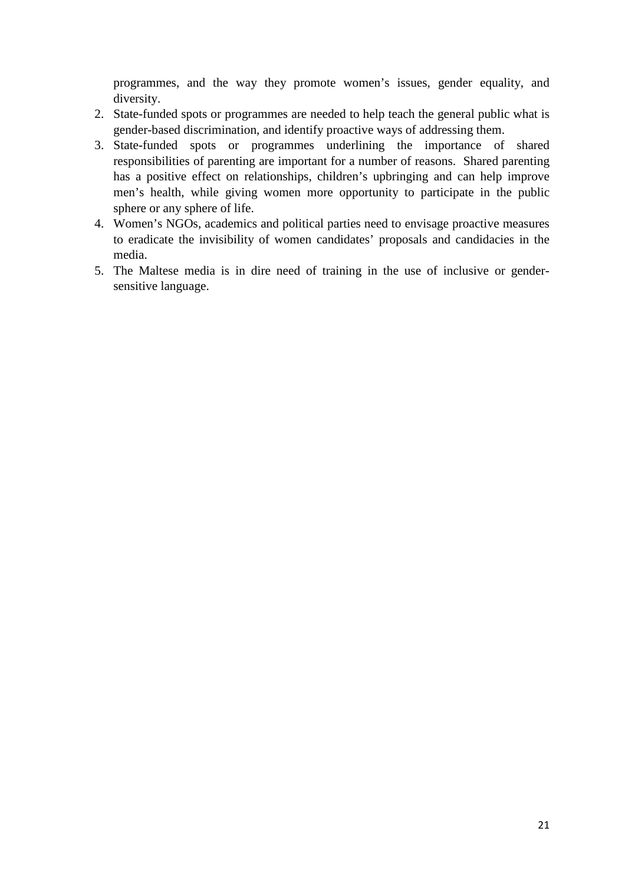programmes, and the way they promote women's issues, gender equality, and diversity.

- 2. State-funded spots or programmes are needed to help teach the general public what is gender-based discrimination, and identify proactive ways of addressing them.
- 3. State-funded spots or programmes underlining the importance of shared responsibilities of parenting are important for a number of reasons. Shared parenting has a positive effect on relationships, children's upbringing and can help improve men's health, while giving women more opportunity to participate in the public sphere or any sphere of life.
- 4. Women's NGOs, academics and political parties need to envisage proactive measures to eradicate the invisibility of women candidates' proposals and candidacies in the media.
- 5. The Maltese media is in dire need of training in the use of inclusive or gendersensitive language.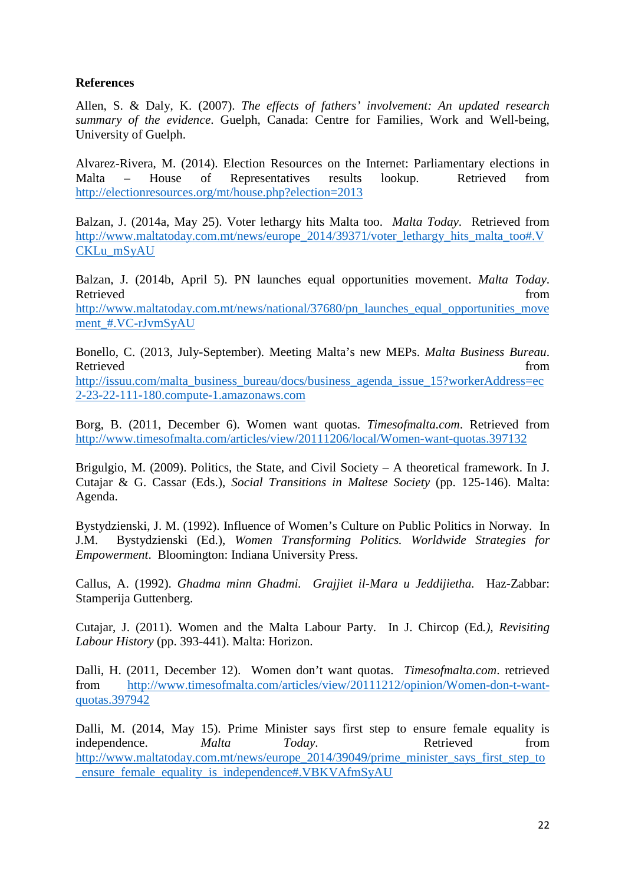## **References**

Allen, S. & Daly, K. (2007). *The effects of fathers' involvement: An updated research summary of the evidence*. Guelph, Canada: Centre for Families, Work and Well-being, University of Guelph.

Alvarez-Rivera, M. (2014). Election Resources on the Internet: Parliamentary elections in Malta – House of Representatives results lookup. Retrieved from http://electionresources.org/mt/house.php?election=2013

Balzan, J. (2014a, May 25). Voter lethargy hits Malta too. *Malta Today*. Retrieved from http://www.maltatoday.com.mt/news/europe\_2014/39371/voter\_lethargy\_hits\_malta\_too#.V CKLu\_mSyAU

Balzan, J. (2014b, April 5). PN launches equal opportunities movement. *Malta Today*. Retrieved from the state of the state of the state of the state of the state of the state of the state of the state of the state of the state of the state of the state of the state of the state of the state of the state of http://www.maltatoday.com.mt/news/national/37680/pn\_launches\_equal\_opportunities\_move ment\_#.VC-rJvmSyAU

Bonello, C. (2013, July-September). Meeting Malta's new MEPs. *Malta Business Bureau*. Retrieved from the state of the state of the state of the state of the state of the state of the state of the state of the state of the state of the state of the state of the state of the state of the state of the state of

http://issuu.com/malta\_business\_bureau/docs/business\_agenda\_issue\_15?workerAddress=ec 2-23-22-111-180.compute-1.amazonaws.com

Borg, B. (2011, December 6). Women want quotas. *Timesofmalta.com*. Retrieved from http://www.timesofmalta.com/articles/view/20111206/local/Women-want-quotas.397132

Brigulgio, M. (2009). Politics, the State, and Civil Society – A theoretical framework. In J. Cutajar & G. Cassar (Eds.), *Social Transitions in Maltese Society* (pp. 125-146). Malta: Agenda.

Bystydzienski, J. M. (1992). Influence of Women's Culture on Public Politics in Norway. In J.M. Bystydzienski (Ed.), *Women Transforming Politics. Worldwide Strategies for Empowerment*. Bloomington: Indiana University Press.

Callus, A. (1992). *Ghadma minn Ghadmi. Grajjiet il-Mara u Jeddijietha.* Haz-Zabbar: Stamperija Guttenberg.

Cutajar, J. (2011). Women and the Malta Labour Party. In J. Chircop (Ed*.), Revisiting Labour History* (pp. 393-441). Malta: Horizon.

Dalli, H. (2011, December 12). Women don't want quotas. *Timesofmalta.com*. retrieved from http://www.timesofmalta.com/articles/view/20111212/opinion/Women-don-t-wantquotas.397942

Dalli, M. (2014, May 15). Prime Minister says first step to ensure female equality is independence. *Malta Today*. Retrieved from http://www.maltatoday.com.mt/news/europe\_2014/39049/prime\_minister\_says\_first\_step\_to \_ensure\_female\_equality\_is\_independence#.VBKVAfmSyAU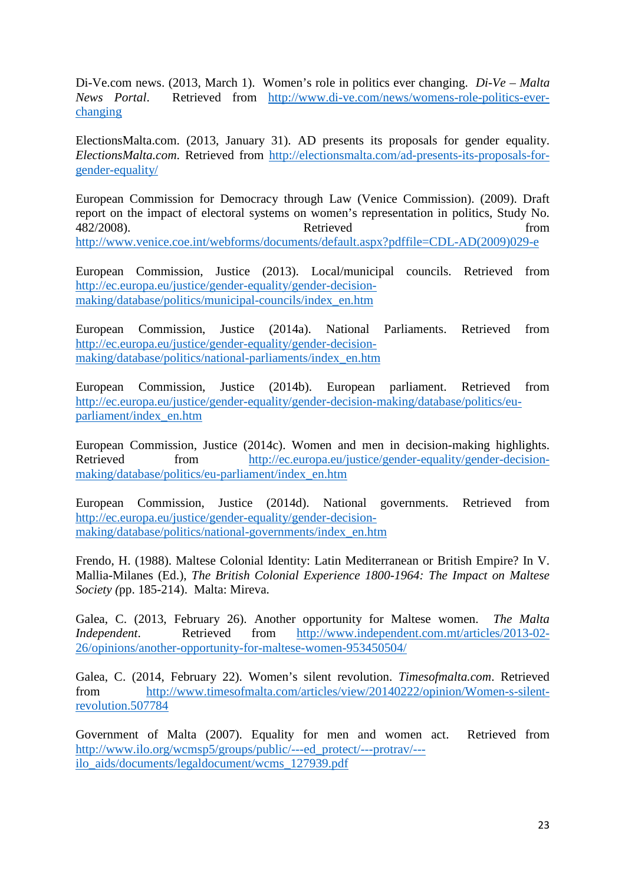Di-Ve.com news. (2013, March 1). Women's role in politics ever changing. *Di-Ve – Malta News Portal*. Retrieved from http://www.di-ve.com/news/womens-role-politics-everchanging

ElectionsMalta.com. (2013, January 31). AD presents its proposals for gender equality. *ElectionsMalta.com*. Retrieved from http://electionsmalta.com/ad-presents-its-proposals-forgender-equality/

European Commission for Democracy through Law (Venice Commission). (2009). Draft report on the impact of electoral systems on women's representation in politics, Study No. 482/2008). Retrieved from http://www.venice.coe.int/webforms/documents/default.aspx?pdffile=CDL-AD(2009)029-e

European Commission, Justice (2013). Local/municipal councils. Retrieved from http://ec.europa.eu/justice/gender-equality/gender-decisionmaking/database/politics/municipal-councils/index\_en.htm

European Commission, Justice (2014a). National Parliaments. Retrieved from http://ec.europa.eu/justice/gender-equality/gender-decisionmaking/database/politics/national-parliaments/index\_en.htm

European Commission, Justice (2014b). European parliament. Retrieved from http://ec.europa.eu/justice/gender-equality/gender-decision-making/database/politics/euparliament/index\_en.htm

European Commission, Justice (2014c). Women and men in decision-making highlights. Retrieved from http://ec.europa.eu/justice/gender-equality/gender-decisionmaking/database/politics/eu-parliament/index\_en.htm

European Commission, Justice (2014d). National governments. Retrieved from http://ec.europa.eu/justice/gender-equality/gender-decisionmaking/database/politics/national-governments/index\_en.htm

Frendo, H. (1988). Maltese Colonial Identity: Latin Mediterranean or British Empire? In V. Mallia-Milanes (Ed.), *The British Colonial Experience 1800-1964: The Impact on Maltese Society (*pp. 185-214). Malta: Mireva.

Galea, C. (2013, February 26). Another opportunity for Maltese women. *The Malta Independent*. Retrieved from http://www.independent.com.mt/articles/2013-02-26/opinions/another-opportunity-for-maltese-women-953450504/

Galea, C. (2014, February 22). Women's silent revolution. *Timesofmalta.com*. Retrieved from http://www.timesofmalta.com/articles/view/20140222/opinion/Women-s-silentrevolution.507784

Government of Malta (2007). Equality for men and women act. Retrieved from http://www.ilo.org/wcmsp5/groups/public/---ed\_protect/---protrav/-- ilo\_aids/documents/legaldocument/wcms\_127939.pdf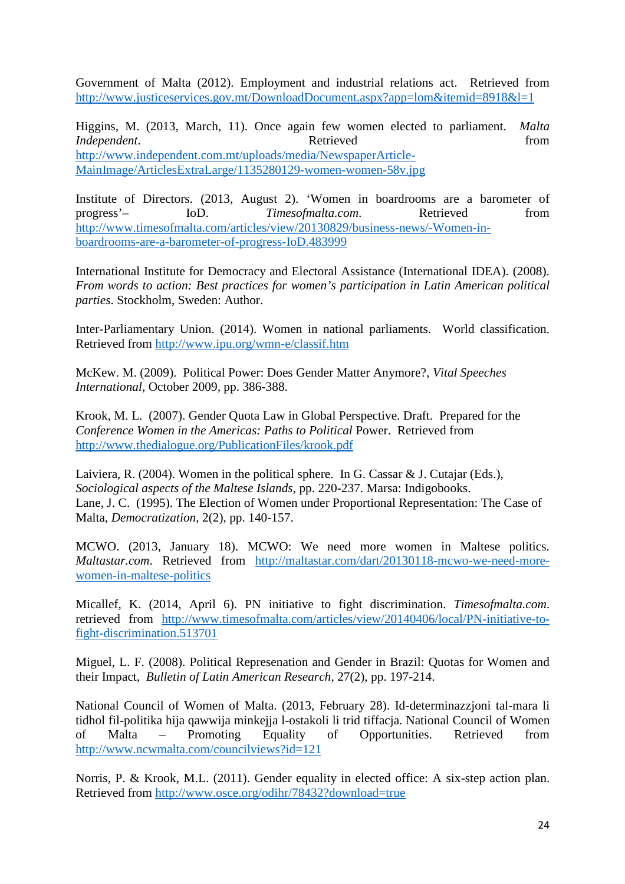Government of Malta (2012). Employment and industrial relations act. Retrieved from http://www.justiceservices.gov.mt/DownloadDocument.aspx?app=lom&itemid=8918&l=1

Higgins, M. (2013, March, 11). Once again few women elected to parliament. *Malta Independent*. The **Independent** *Independent Independent Independent Independent* http://www.independent.com.mt/uploads/media/NewspaperArticle-MainImage/ArticlesExtraLarge/1135280129-women-women-58v.jpg

Institute of Directors. (2013, August 2). 'Women in boardrooms are a barometer of progress'– IoD. *Timesofmalta.com*. Retrieved from http://www.timesofmalta.com/articles/view/20130829/business-news/-Women-inboardrooms-are-a-barometer-of-progress-IoD.483999

International Institute for Democracy and Electoral Assistance (International IDEA). (2008). *From words to action: Best practices for women's participation in Latin American political parties*. Stockholm, Sweden: Author.

Inter-Parliamentary Union. (2014). Women in national parliaments. World classification. Retrieved from http://www.ipu.org/wmn-e/classif.htm

McKew. M. (2009). Political Power: Does Gender Matter Anymore?, *Vital Speeches International*, October 2009, pp. 386-388.

Krook, M. L. (2007). Gender Quota Law in Global Perspective. Draft. Prepared for the *Conference Women in the Americas: Paths to Political Power. Retrieved from* http://www.thedialogue.org/PublicationFiles/krook.pdf

Laiviera, R. (2004). Women in the political sphere. In G. Cassar & J. Cutajar (Eds.), *Sociological aspects of the Maltese Islands*, pp. 220-237. Marsa: Indigobooks. Lane, J. C. (1995). The Election of Women under Proportional Representation: The Case of Malta, *Democratization*, 2(2), pp. 140-157.

MCWO. (2013, January 18). MCWO: We need more women in Maltese politics. *Maltastar.com*. Retrieved from http://maltastar.com/dart/20130118-mcwo-we-need-morewomen-in-maltese-politics

Micallef, K. (2014, April 6). PN initiative to fight discrimination. *Timesofmalta.com*. retrieved from http://www.timesofmalta.com/articles/view/20140406/local/PN-initiative-tofight-discrimination.513701

Miguel, L. F. (2008). Political Represenation and Gender in Brazil: Quotas for Women and their Impact, *Bulletin of Latin American Research*, 27(2), pp. 197-214.

National Council of Women of Malta. (2013, February 28). Id-determinazzjoni tal-mara li tidhol fil-politika hija qawwija minkejja l-ostakoli li trid tiffacja. National Council of Women of Malta – Promoting Equality of Opportunities. Retrieved from http://www.ncwmalta.com/councilviews?id=121

Norris, P. & Krook, M.L. (2011). Gender equality in elected office: A six-step action plan. Retrieved from http://www.osce.org/odihr/78432?download=true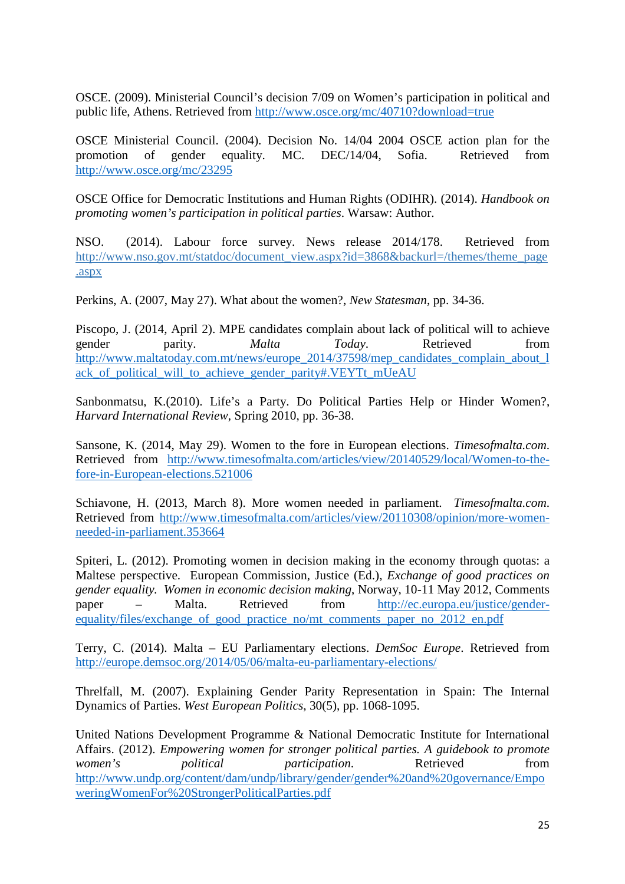OSCE. (2009). Ministerial Council's decision 7/09 on Women's participation in political and public life, Athens. Retrieved from http://www.osce.org/mc/40710?download=true

OSCE Ministerial Council. (2004). Decision No. 14/04 2004 OSCE action plan for the promotion of gender equality. MC. DEC/14/04, Sofia. Retrieved from http://www.osce.org/mc/23295

OSCE Office for Democratic Institutions and Human Rights (ODIHR). (2014). *Handbook on promoting women's participation in political parties*. Warsaw: Author.

NSO. (2014). Labour force survey. News release 2014/178. Retrieved from http://www.nso.gov.mt/statdoc/document\_view.aspx?id=3868&backurl=/themes/theme\_page .aspx

Perkins, A. (2007, May 27). What about the women?, *New Statesman*, pp. 34-36.

Piscopo, J. (2014, April 2). MPE candidates complain about lack of political will to achieve gender parity. *Malta Today*. Retrieved from http://www.maltatoday.com.mt/news/europe\_2014/37598/mep\_candidates\_complain\_about\_l ack\_of\_political\_will\_to\_achieve\_gender\_parity#.VEYTt\_mUeAU

Sanbonmatsu, K.(2010). Life's a Party. Do Political Parties Help or Hinder Women?, *Harvard International Review*, Spring 2010, pp. 36-38.

Sansone, K. (2014, May 29). Women to the fore in European elections. *Timesofmalta.com*. Retrieved from http://www.timesofmalta.com/articles/view/20140529/local/Women-to-thefore-in-European-elections.521006

Schiavone, H. (2013, March 8). More women needed in parliament. *Timesofmalta.com*. Retrieved from http://www.timesofmalta.com/articles/view/20110308/opinion/more-womenneeded-in-parliament.353664

Spiteri, L. (2012). Promoting women in decision making in the economy through quotas: a Maltese perspective. European Commission, Justice (Ed.), *Exchange of good practices on gender equality. Women in economic decision making*, Norway, 10-11 May 2012, Comments paper – Malta. Retrieved from http://ec.europa.eu/justice/genderequality/files/exchange\_of\_good\_practice\_no/mt\_comments\_paper\_no\_2012\_en.pdf

Terry, C. (2014). Malta – EU Parliamentary elections. *DemSoc Europe*. Retrieved from http://europe.demsoc.org/2014/05/06/malta-eu-parliamentary-elections/

Threlfall, M. (2007). Explaining Gender Parity Representation in Spain: The Internal Dynamics of Parties. *West European Politics*, 30(5), pp. 1068-1095.

United Nations Development Programme & National Democratic Institute for International Affairs. (2012). *Empowering women for stronger political parties. A guidebook to promote women's political participation*. Retrieved from http://www.undp.org/content/dam/undp/library/gender/gender%20and%20governance/Empo weringWomenFor%20StrongerPoliticalParties.pdf